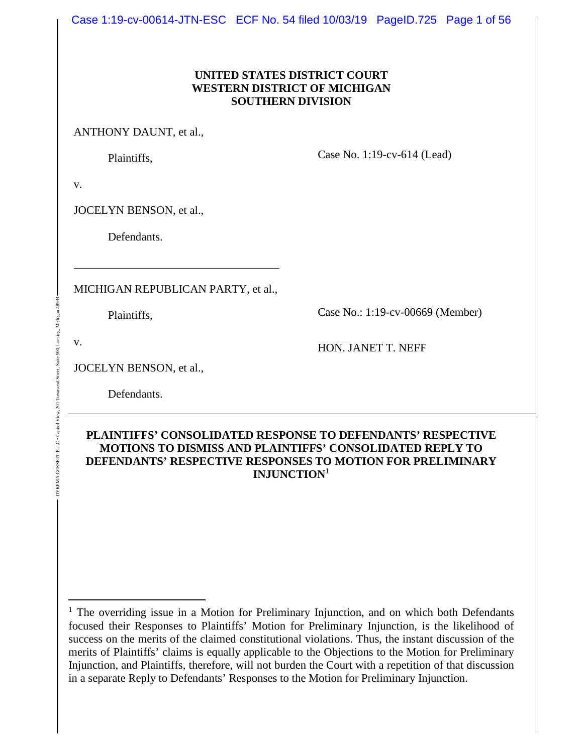Case 1:19-cv-00614-JTN-ESC ECF No. 54 filed 10/03/19 PageID.725 Page 1 of 56

#### **UNITED STATES DISTRICT COURT WESTERN DISTRICT OF MICHIGAN SOUTHERN DIVISION**

ANTHONY DAUNT, et al.,

Plaintiffs,

Case No. 1:19-cv-614 (Lead)

v.

JOCELYN BENSON, et al.,

Defendants.

MICHIGAN REPUBLICAN PARTY, et al.,

Plaintiffs,

Case No.: 1:19-cv-00669 (Member)

v.

DYKEMA GOSSETT PLLC • Capitol View, 201 Townsend Street, Suite 900, Lansing, Michigan 48933

Γoν  $201$ 

DYKEMA GOSSETT PLLC . Capito

Michiga

900, Lan Suite

HON. JANET T. NEFF

JOCELYN BENSON, et al.,

Defendants.

### **PLAINTIFFS' CONSOLIDATED RESPONSE TO DEFENDANTS' RESPECTIVE MOTIONS TO DISMISS AND PLAINTIFFS' CONSOLIDATED REPLY TO DEFENDANTS' RESPECTIVE RESPONSES TO MOTION FOR PRELIMINARY INJUNCTION**<sup>1</sup>

<sup>&</sup>lt;sup>1</sup> The overriding issue in a Motion for Preliminary Injunction, and on which both Defendants focused their Responses to Plaintiffs' Motion for Preliminary Injunction, is the likelihood of success on the merits of the claimed constitutional violations. Thus, the instant discussion of the merits of Plaintiffs' claims is equally applicable to the Objections to the Motion for Preliminary Injunction, and Plaintiffs, therefore, will not burden the Court with a repetition of that discussion in a separate Reply to Defendants' Responses to the Motion for Preliminary Injunction.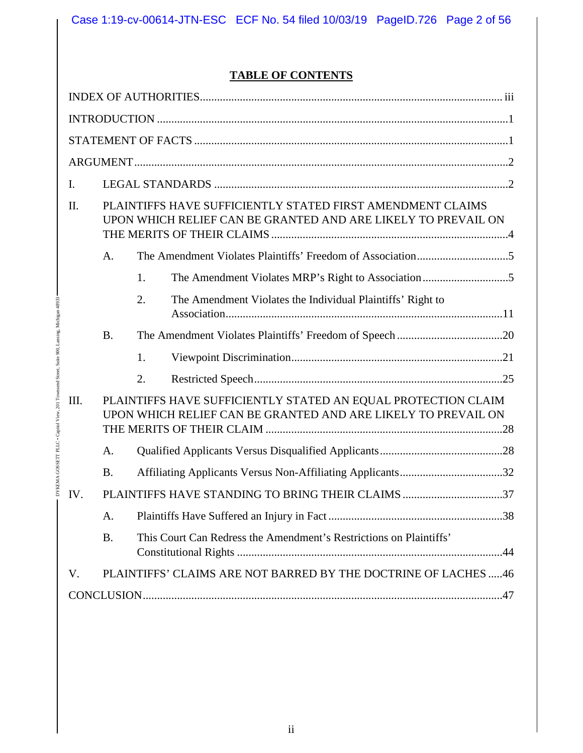## **TABLE OF CONTENTS**

| I.   |           |                                                                                                                                |  |
|------|-----------|--------------------------------------------------------------------------------------------------------------------------------|--|
| Π.   |           | PLAINTIFFS HAVE SUFFICIENTLY STATED FIRST AMENDMENT CLAIMS<br>UPON WHICH RELIEF CAN BE GRANTED AND ARE LIKELY TO PREVAIL ON    |  |
|      | A.        |                                                                                                                                |  |
|      |           | 1.                                                                                                                             |  |
|      |           | 2.<br>The Amendment Violates the Individual Plaintiffs' Right to                                                               |  |
|      | <b>B.</b> |                                                                                                                                |  |
|      |           | 1.                                                                                                                             |  |
|      |           | 2.                                                                                                                             |  |
| III. |           | PLAINTIFFS HAVE SUFFICIENTLY STATED AN EQUAL PROTECTION CLAIM<br>UPON WHICH RELIEF CAN BE GRANTED AND ARE LIKELY TO PREVAIL ON |  |
|      | A.        |                                                                                                                                |  |
|      | <b>B.</b> |                                                                                                                                |  |
| IV.  |           | PLAINTIFFS HAVE STANDING TO BRING THEIR CLAIMS 37                                                                              |  |
|      | Α.        |                                                                                                                                |  |
|      | <b>B.</b> | This Court Can Redress the Amendment's Restrictions on Plaintiffs'                                                             |  |
| V.   |           | PLAINTIFFS' CLAIMS ARE NOT BARRED BY THE DOCTRINE OF LACHES 46                                                                 |  |
|      |           |                                                                                                                                |  |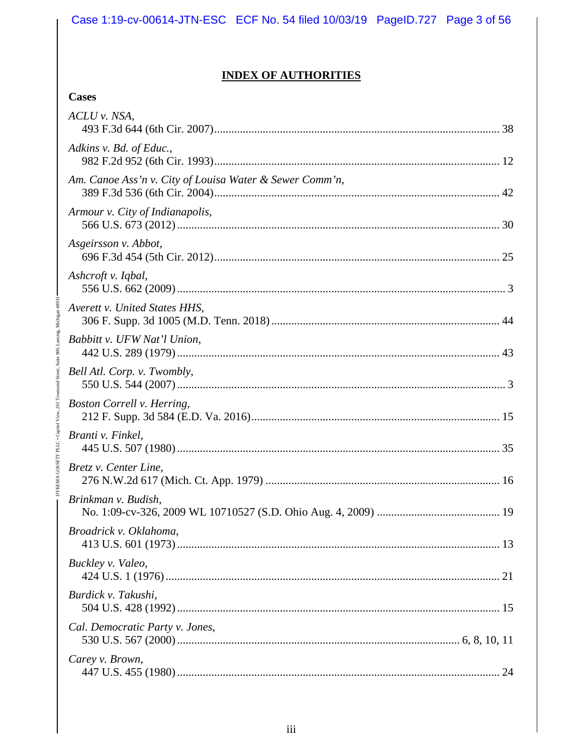## **INDEX OF AUTHORITIES**

### **Cases**

| ACLU v. NSA,                                            |  |
|---------------------------------------------------------|--|
| Adkins v. Bd. of Educ.,                                 |  |
| Am. Canoe Ass'n v. City of Louisa Water & Sewer Comm'n, |  |
| Armour v. City of Indianapolis,                         |  |
| Asgeirsson v. Abbot,                                    |  |
| Ashcroft v. Iqbal,                                      |  |
| Averett v. United States HHS,                           |  |
| Babbitt v. UFW Nat'l Union,                             |  |
| Bell Atl. Corp. v. Twombly,                             |  |
| Boston Correll v. Herring,                              |  |
| Branti v. Finkel,                                       |  |
| Bretz v. Center Line,                                   |  |
| Brinkman v. Budish,                                     |  |
| Broadrick v. Oklahoma,                                  |  |
| Buckley v. Valeo,                                       |  |
| Burdick v. Takushi,                                     |  |
| Cal. Democratic Party v. Jones,                         |  |
| Carey v. Brown,                                         |  |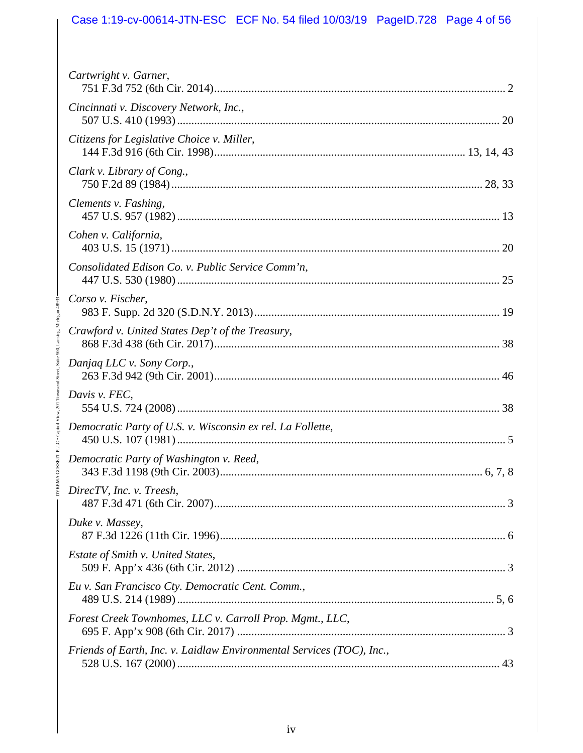# Case 1:19-cv-00614-JTN-ESC ECF No. 54 filed 10/03/19 PageID.728 Page 4 of 56

| Cartwright v. Garner,                                                 |
|-----------------------------------------------------------------------|
| Cincinnati v. Discovery Network, Inc.,                                |
| Citizens for Legislative Choice v. Miller,                            |
| Clark v. Library of Cong.,                                            |
| Clements v. Fashing,                                                  |
| Cohen v. California,                                                  |
| Consolidated Edison Co. v. Public Service Comm'n,                     |
| Corso v. Fischer,                                                     |
| Crawford v. United States Dep't of the Treasury,                      |
| Danjaq LLC v. Sony Corp.,                                             |
| Davis v. FEC,                                                         |
| Democratic Party of U.S. v. Wisconsin ex rel. La Follette,            |
| Democratic Party of Washington v. Reed,                               |
| DirecTV, Inc. v. Treesh,                                              |
| Duke v. Massey,                                                       |
| Estate of Smith v. United States,                                     |
| Eu v. San Francisco Cty. Democratic Cent. Comm.,                      |
| Forest Creek Townhomes, LLC v. Carroll Prop. Mgmt., LLC,              |
| Friends of Earth, Inc. v. Laidlaw Environmental Services (TOC), Inc., |

DYKEMA GOSSETT PLLC • Capitol View, 201 Townsend Street, Suite 900, Lansing, Michigan 48933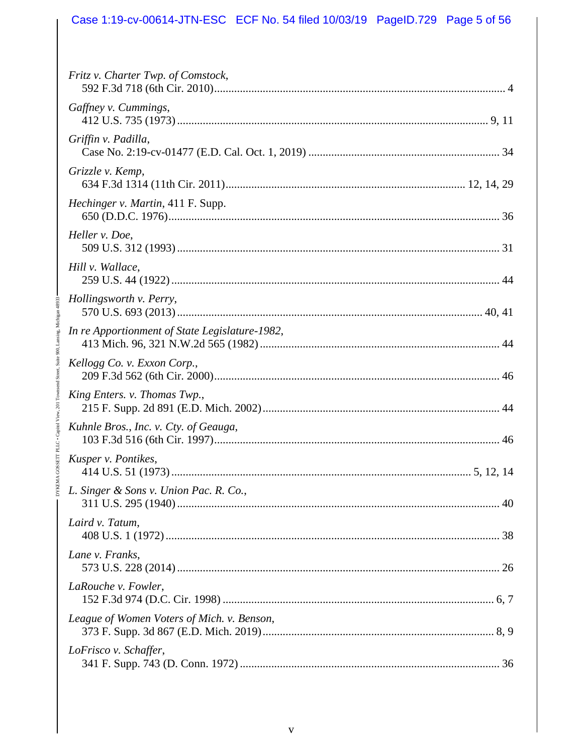# Case 1:19-cv-00614-JTN-ESC ECF No. 54 filed 10/03/19 PageID.729 Page 5 of 56

| Fritz v. Charter Twp. of Comstock,             |
|------------------------------------------------|
| Gaffney v. Cummings,                           |
| Griffin v. Padilla,                            |
| Grizzle v. Kemp,                               |
| Hechinger v. Martin, 411 F. Supp.              |
| Heller v. Doe,                                 |
| Hill v. Wallace,                               |
| Hollingsworth v. Perry,                        |
| In re Apportionment of State Legislature-1982, |
| Kellogg Co. v. Exxon Corp.,                    |
| King Enters. v. Thomas Twp.,                   |
| Kuhnle Bros., Inc. v. Cty. of Geauga,          |
| Kusper v. Pontikes,                            |
| L. Singer & Sons v. Union Pac. R. Co.,         |
| Laird v. Tatum,                                |
| Lane v. Franks,                                |
| LaRouche v. Fowler,                            |
| League of Women Voters of Mich. v. Benson,     |
| LoFrisco v. Schaffer,                          |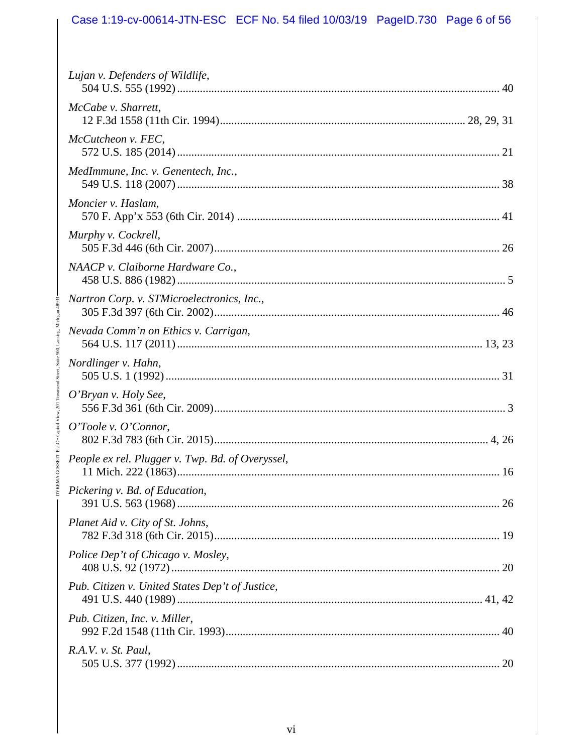# Case 1:19-cv-00614-JTN-ESC ECF No. 54 filed 10/03/19 PageID.730 Page 6 of 56

| Lujan v. Defenders of Wildlife,                  |
|--------------------------------------------------|
| McCabe v. Sharrett,                              |
| McCutcheon v. FEC,                               |
| MedImmune, Inc. v. Genentech, Inc.,              |
| Moncier v. Haslam,                               |
| Murphy v. Cockrell,                              |
| NAACP v. Claiborne Hardware Co.,                 |
| Nartron Corp. v. STMicroelectronics, Inc.,       |
| Nevada Comm'n on Ethics v. Carrigan,             |
| Nordlinger v. Hahn,                              |
| O'Bryan v. Holy See,                             |
| O'Toole v. O'Connor,                             |
| People ex rel. Plugger v. Twp. Bd. of Overyssel, |
| Pickering v. Bd. of Education,                   |
| Planet Aid v. City of St. Johns,                 |
| Police Dep't of Chicago v. Mosley,               |
| Pub. Citizen v. United States Dep't of Justice,  |
| Pub. Citizen, Inc. v. Miller,                    |
| R.A.V. v. St. Paul,                              |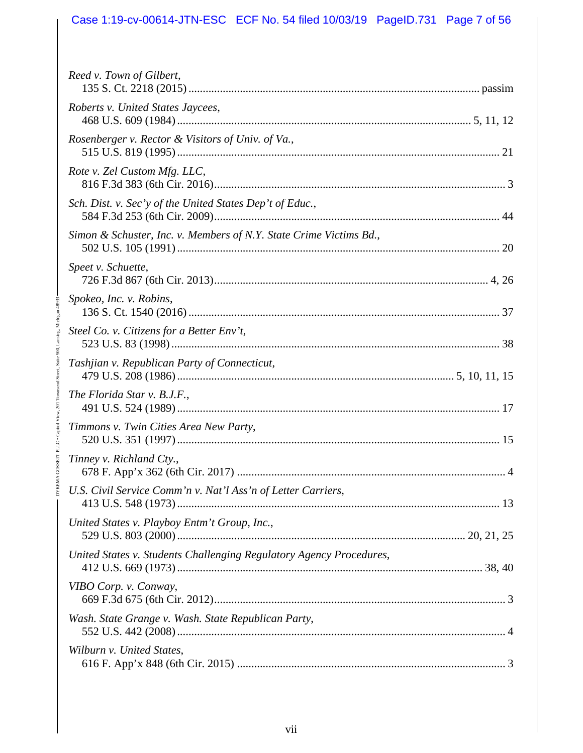# Case 1:19-cv-00614-JTN-ESC ECF No. 54 filed 10/03/19 PageID.731 Page 7 of 56

| Reed v. Town of Gilbert,                                            |
|---------------------------------------------------------------------|
| Roberts v. United States Jaycees,                                   |
| Rosenberger v. Rector & Visitors of Univ. of Va.,                   |
| Rote v. Zel Custom Mfg. LLC,                                        |
| Sch. Dist. v. Sec'y of the United States Dep't of Educ.,            |
| Simon & Schuster, Inc. v. Members of N.Y. State Crime Victims Bd.,  |
| Speet v. Schuette,                                                  |
| Spokeo, Inc. v. Robins,                                             |
| Steel Co. v. Citizens for a Better Env't,                           |
| Tashjian v. Republican Party of Connecticut,                        |
| The Florida Star v. B.J.F.,                                         |
| Timmons v. Twin Cities Area New Party,                              |
| Tinney v. Richland Cty.,                                            |
| U.S. Civil Service Comm'n v. Nat'l Ass'n of Letter Carriers,        |
| United States v. Playboy Entm't Group, Inc.,                        |
| United States v. Students Challenging Regulatory Agency Procedures, |
| VIBO Corp. v. Conway,                                               |
| Wash. State Grange v. Wash. State Republican Party,                 |
| Wilburn v. United States,                                           |

DYKEMA GOSSETT PLLC • Capitol View, 201 Townsend Street, Suite 900, Lansing, Michigan 48933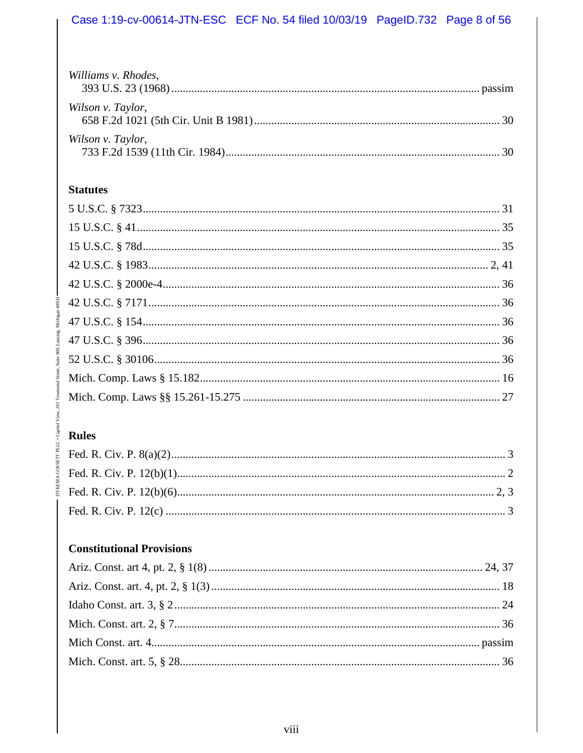### Case 1:19-cv-00614-JTN-ESC ECF No. 54 filed 10/03/19 PageID.732 Page 8 of 56

| Williams v. Rhodes, |  |
|---------------------|--|
| Wilson v. Taylor,   |  |
| Wilson v. Taylor,   |  |

### **Statutes**

# **Rules**

# **Constitutional Provisions**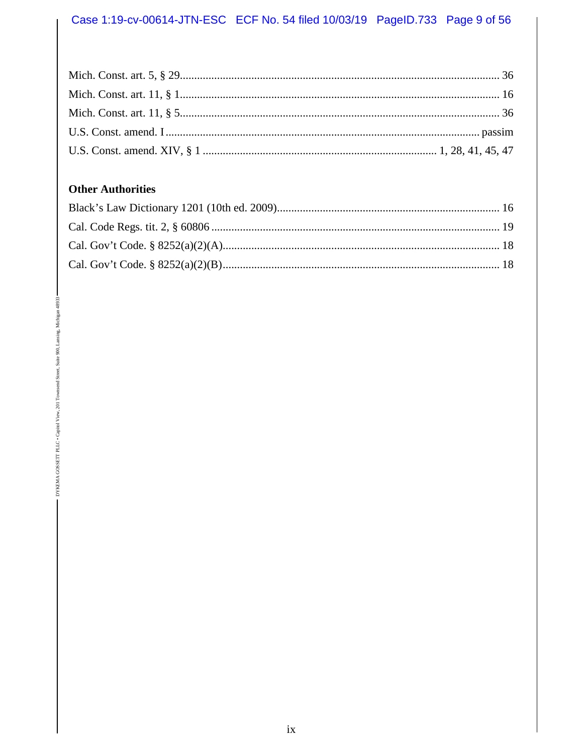## **Other Authorities**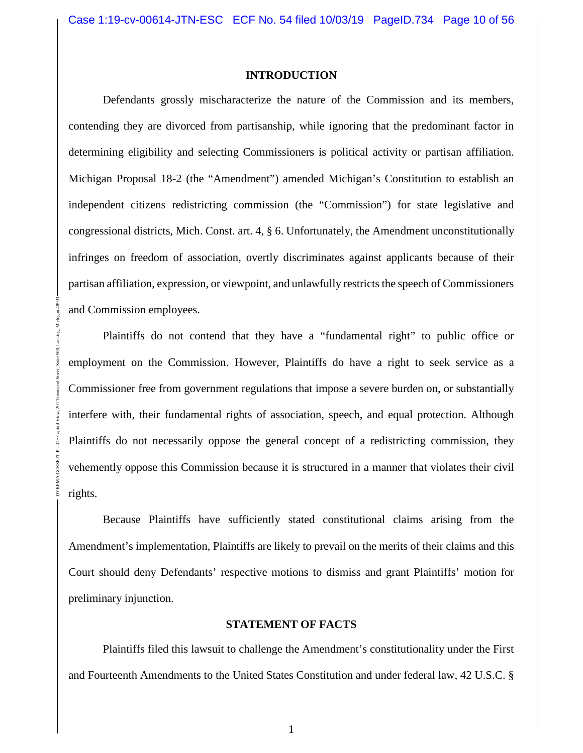#### **INTRODUCTION**

Defendants grossly mischaracterize the nature of the Commission and its members, contending they are divorced from partisanship, while ignoring that the predominant factor in determining eligibility and selecting Commissioners is political activity or partisan affiliation. Michigan Proposal 18-2 (the "Amendment") amended Michigan's Constitution to establish an independent citizens redistricting commission (the "Commission") for state legislative and congressional districts, Mich. Const. art. 4, § 6. Unfortunately, the Amendment unconstitutionally infringes on freedom of association, overtly discriminates against applicants because of their partisan affiliation, expression, or viewpoint, and unlawfully restricts the speech of Commissioners and Commission employees.

Plaintiffs do not contend that they have a "fundamental right" to public office or employment on the Commission. However, Plaintiffs do have a right to seek service as a Commissioner free from government regulations that impose a severe burden on, or substantially interfere with, their fundamental rights of association, speech, and equal protection. Although Plaintiffs do not necessarily oppose the general concept of a redistricting commission, they vehemently oppose this Commission because it is structured in a manner that violates their civil rights.

DYKEMA GOSSETT PLLC • Capitol View, 201 Townsend Street, Suite 900, Lansing, Michigan 48933

Because Plaintiffs have sufficiently stated constitutional claims arising from the Amendment's implementation, Plaintiffs are likely to prevail on the merits of their claims and this Court should deny Defendants' respective motions to dismiss and grant Plaintiffs' motion for preliminary injunction.

#### **STATEMENT OF FACTS**

Plaintiffs filed this lawsuit to challenge the Amendment's constitutionality under the First and Fourteenth Amendments to the United States Constitution and under federal law, 42 U.S.C. §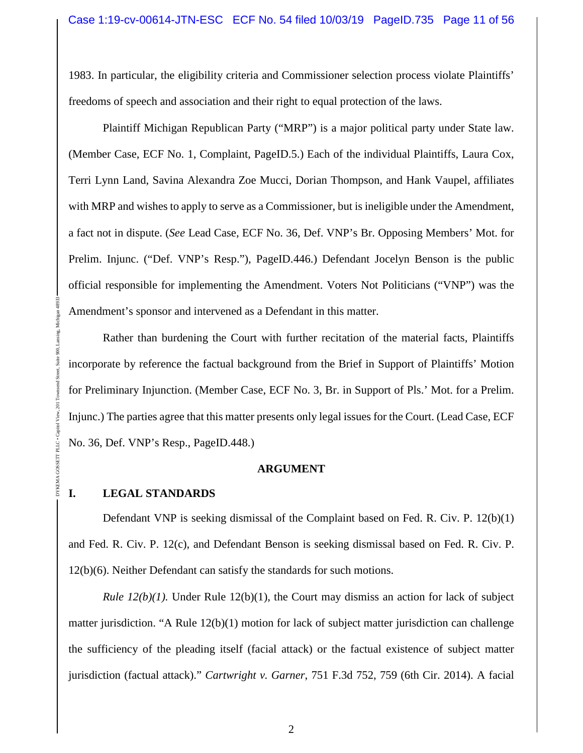1983. In particular, the eligibility criteria and Commissioner selection process violate Plaintiffs' freedoms of speech and association and their right to equal protection of the laws.

Plaintiff Michigan Republican Party ("MRP") is a major political party under State law. (Member Case, ECF No. 1, Complaint, PageID.5.) Each of the individual Plaintiffs, Laura Cox, Terri Lynn Land, Savina Alexandra Zoe Mucci, Dorian Thompson, and Hank Vaupel, affiliates with MRP and wishes to apply to serve as a Commissioner, but is ineligible under the Amendment, a fact not in dispute. (*See* Lead Case, ECF No. 36, Def. VNP's Br. Opposing Members' Mot. for Prelim. Injunc. ("Def. VNP's Resp."), PageID.446.) Defendant Jocelyn Benson is the public official responsible for implementing the Amendment. Voters Not Politicians ("VNP") was the Amendment's sponsor and intervened as a Defendant in this matter.

Rather than burdening the Court with further recitation of the material facts, Plaintiffs incorporate by reference the factual background from the Brief in Support of Plaintiffs' Motion for Preliminary Injunction. (Member Case, ECF No. 3, Br. in Support of Pls.' Mot. for a Prelim. Injunc.) The parties agree that this matter presents only legal issues for the Court. (Lead Case, ECF No. 36, Def. VNP's Resp., PageID.448.)

#### **ARGUMENT**

### **I. LEGAL STANDARDS**

DYKEMA GOSSETT PLLC • Capitol View, 201 Townsend Street, Suite 900, Lansing, Michigan 48933

DYKEMA GOSSET

Defendant VNP is seeking dismissal of the Complaint based on Fed. R. Civ. P. 12(b)(1) and Fed. R. Civ. P. 12(c), and Defendant Benson is seeking dismissal based on Fed. R. Civ. P. 12(b)(6). Neither Defendant can satisfy the standards for such motions.

*Rule*  $12(b)(1)$ *.* Under Rule  $12(b)(1)$ , the Court may dismiss an action for lack of subject matter jurisdiction. "A Rule 12(b)(1) motion for lack of subject matter jurisdiction can challenge the sufficiency of the pleading itself (facial attack) or the factual existence of subject matter jurisdiction (factual attack)." *Cartwright v. Garner*, 751 F.3d 752, 759 (6th Cir. 2014). A facial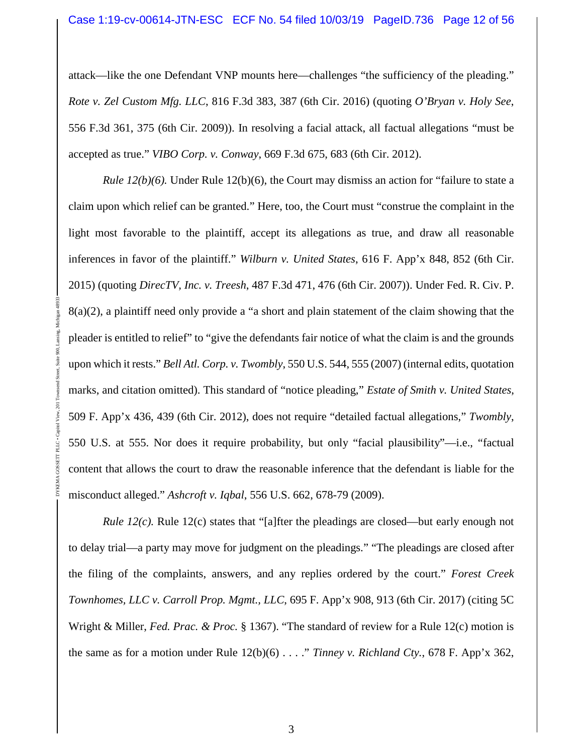attack—like the one Defendant VNP mounts here—challenges "the sufficiency of the pleading." *Rote v. Zel Custom Mfg. LLC*, 816 F.3d 383, 387 (6th Cir. 2016) (quoting *O'Bryan v. Holy See*, 556 F.3d 361, 375 (6th Cir. 2009)). In resolving a facial attack, all factual allegations "must be accepted as true." *VIBO Corp. v. Conway*, 669 F.3d 675, 683 (6th Cir. 2012).

*Rule*  $12(b)(6)$ *.* Under Rule  $12(b)(6)$ , the Court may dismiss an action for "failure to state a claim upon which relief can be granted." Here, too, the Court must "construe the complaint in the light most favorable to the plaintiff, accept its allegations as true, and draw all reasonable inferences in favor of the plaintiff." *Wilburn v. United States*, 616 F. App'x 848, 852 (6th Cir. 2015) (quoting *DirecTV, Inc. v. Treesh*, 487 F.3d 471, 476 (6th Cir. 2007)). Under Fed. R. Civ. P.  $8(a)(2)$ , a plaintiff need only provide a "a short and plain statement of the claim showing that the pleader is entitled to relief" to "give the defendants fair notice of what the claim is and the grounds upon which it rests." *Bell Atl. Corp. v. Twombly*, 550 U.S. 544, 555 (2007) (internal edits, quotation marks, and citation omitted). This standard of "notice pleading," *Estate of Smith v. United States*, 509 F. App'x 436, 439 (6th Cir. 2012), does not require "detailed factual allegations," *Twombly*, 550 U.S. at 555. Nor does it require probability, but only "facial plausibility"—i.e., "factual content that allows the court to draw the reasonable inference that the defendant is liable for the misconduct alleged." *Ashcroft v. Iqbal*, 556 U.S. 662, 678-79 (2009).

DYKEMA GOSSETT PLLC • Capitol View, 201 Townsend Street, Suite 900, Lansing, Michigan 48933

*Rule 12(c).* Rule 12(c) states that "[a]fter the pleadings are closed—but early enough not to delay trial—a party may move for judgment on the pleadings." "The pleadings are closed after the filing of the complaints, answers, and any replies ordered by the court." *Forest Creek Townhomes, LLC v. Carroll Prop. Mgmt., LLC*, 695 F. App'x 908, 913 (6th Cir. 2017) (citing 5C Wright & Miller, *Fed. Prac. & Proc.* § 1367). "The standard of review for a Rule 12(c) motion is the same as for a motion under Rule 12(b)(6) . . . ." *Tinney v. Richland Cty.*, 678 F. App'x 362,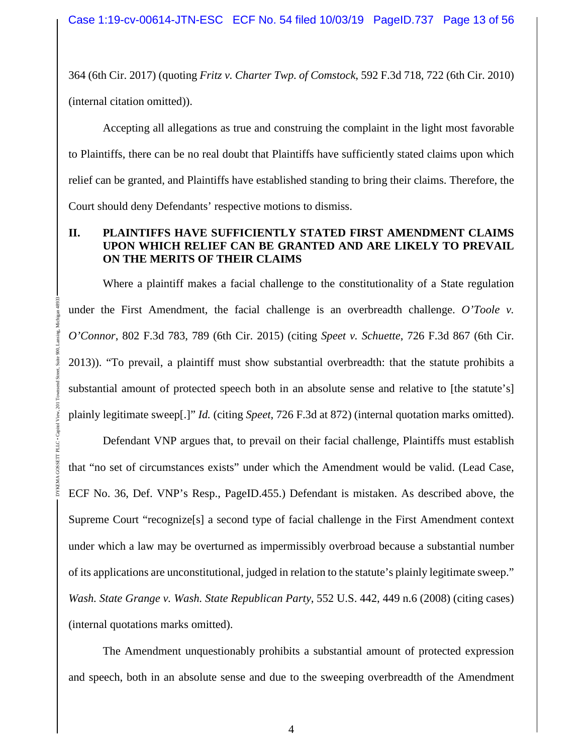364 (6th Cir. 2017) (quoting *Fritz v. Charter Twp. of Comstock*, 592 F.3d 718, 722 (6th Cir. 2010) (internal citation omitted)).

Accepting all allegations as true and construing the complaint in the light most favorable to Plaintiffs, there can be no real doubt that Plaintiffs have sufficiently stated claims upon which relief can be granted, and Plaintiffs have established standing to bring their claims. Therefore, the Court should deny Defendants' respective motions to dismiss.

### **II. PLAINTIFFS HAVE SUFFICIENTLY STATED FIRST AMENDMENT CLAIMS UPON WHICH RELIEF CAN BE GRANTED AND ARE LIKELY TO PREVAIL ON THE MERITS OF THEIR CLAIMS**

Where a plaintiff makes a facial challenge to the constitutionality of a State regulation under the First Amendment, the facial challenge is an overbreadth challenge. *O'Toole v. O'Connor*, 802 F.3d 783, 789 (6th Cir. 2015) (citing *Speet v. Schuette*, 726 F.3d 867 (6th Cir. 2013)). "To prevail, a plaintiff must show substantial overbreadth: that the statute prohibits a substantial amount of protected speech both in an absolute sense and relative to [the statute's] plainly legitimate sweep[.]" *Id.* (citing *Speet*, 726 F.3d at 872) (internal quotation marks omitted).

DYKEMA GOSSETT PLLC • Capitol View, 201 Townsend Street, Suite 900, Lansing, Michigan 48933

Defendant VNP argues that, to prevail on their facial challenge, Plaintiffs must establish that "no set of circumstances exists" under which the Amendment would be valid. (Lead Case, ECF No. 36, Def. VNP's Resp., PageID.455.) Defendant is mistaken. As described above, the Supreme Court "recognize[s] a second type of facial challenge in the First Amendment context under which a law may be overturned as impermissibly overbroad because a substantial number of its applications are unconstitutional, judged in relation to the statute's plainly legitimate sweep." *Wash. State Grange v. Wash. State Republican Party*, 552 U.S. 442, 449 n.6 (2008) (citing cases) (internal quotations marks omitted).

The Amendment unquestionably prohibits a substantial amount of protected expression and speech, both in an absolute sense and due to the sweeping overbreadth of the Amendment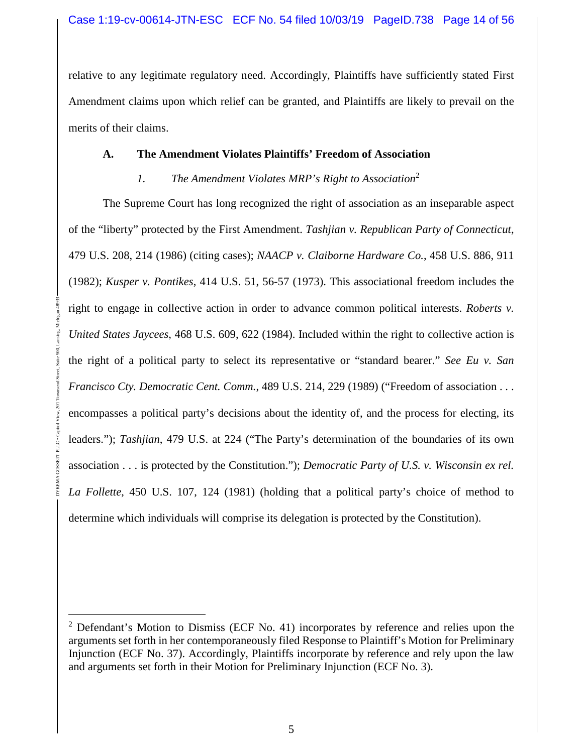relative to any legitimate regulatory need. Accordingly, Plaintiffs have sufficiently stated First Amendment claims upon which relief can be granted, and Plaintiffs are likely to prevail on the merits of their claims.

### **A. The Amendment Violates Plaintiffs' Freedom of Association**

### *1. The Amendment Violates MRP's Right to Association*<sup>2</sup>

The Supreme Court has long recognized the right of association as an inseparable aspect of the "liberty" protected by the First Amendment. *Tashjian v. Republican Party of Connecticut*, 479 U.S. 208, 214 (1986) (citing cases); *NAACP v. Claiborne Hardware Co.*, 458 U.S. 886, 911 (1982); *Kusper v. Pontikes*, 414 U.S. 51, 56-57 (1973). This associational freedom includes the right to engage in collective action in order to advance common political interests. *Roberts v. United States Jaycees*, 468 U.S. 609, 622 (1984). Included within the right to collective action is the right of a political party to select its representative or "standard bearer." *See Eu v. San Francisco Cty. Democratic Cent. Comm.*, 489 U.S. 214, 229 (1989) ("Freedom of association . . . encompasses a political party's decisions about the identity of, and the process for electing, its leaders."); *Tashjian*, 479 U.S. at 224 ("The Party's determination of the boundaries of its own association . . . is protected by the Constitution."); *Democratic Party of U.S. v. Wisconsin ex rel. La Follette*, 450 U.S. 107, 124 (1981) (holding that a political party's choice of method to determine which individuals will comprise its delegation is protected by the Constitution).

 $2$  Defendant's Motion to Dismiss (ECF No. 41) incorporates by reference and relies upon the arguments set forth in her contemporaneously filed Response to Plaintiff's Motion for Preliminary Injunction (ECF No. 37). Accordingly, Plaintiffs incorporate by reference and rely upon the law and arguments set forth in their Motion for Preliminary Injunction (ECF No. 3).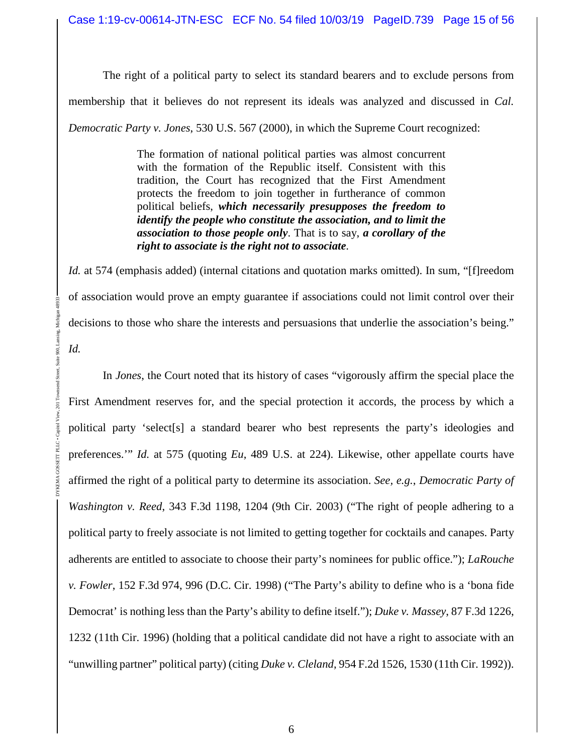The right of a political party to select its standard bearers and to exclude persons from membership that it believes do not represent its ideals was analyzed and discussed in *Cal. Democratic Party v. Jones*, 530 U.S. 567 (2000), in which the Supreme Court recognized:

> The formation of national political parties was almost concurrent with the formation of the Republic itself. Consistent with this tradition, the Court has recognized that the First Amendment protects the freedom to join together in furtherance of common political beliefs, *which necessarily presupposes the freedom to identify the people who constitute the association, and to limit the association to those people only*. That is to say, *a corollary of the right to associate is the right not to associate*.

Id. at 574 (emphasis added) (internal citations and quotation marks omitted). In sum, "[f]reedom of association would prove an empty guarantee if associations could not limit control over their decisions to those who share the interests and persuasions that underlie the association's being."

*Id.*

DYKEMA GOSSETT PLLC • Capitol View, 201 Townsend Street, Suite 900, Lansing, Michigan 48933

80

In *Jones*, the Court noted that its history of cases "vigorously affirm the special place the First Amendment reserves for, and the special protection it accords, the process by which a political party 'select[s] a standard bearer who best represents the party's ideologies and preferences.'" *Id.* at 575 (quoting *Eu*, 489 U.S. at 224). Likewise, other appellate courts have affirmed the right of a political party to determine its association. *See, e.g.*, *Democratic Party of Washington v. Reed*, 343 F.3d 1198, 1204 (9th Cir. 2003) ("The right of people adhering to a political party to freely associate is not limited to getting together for cocktails and canapes. Party adherents are entitled to associate to choose their party's nominees for public office."); *LaRouche v. Fowler*, 152 F.3d 974, 996 (D.C. Cir. 1998) ("The Party's ability to define who is a 'bona fide Democrat' is nothing less than the Party's ability to define itself."); *Duke v. Massey*, 87 F.3d 1226, 1232 (11th Cir. 1996) (holding that a political candidate did not have a right to associate with an "unwilling partner" political party) (citing *Duke v. Cleland*, 954 F.2d 1526, 1530 (11th Cir. 1992)).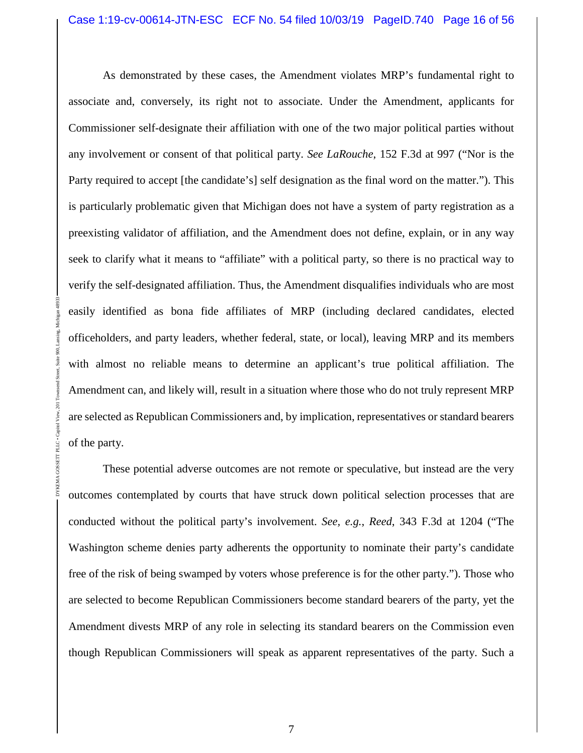As demonstrated by these cases, the Amendment violates MRP's fundamental right to associate and, conversely, its right not to associate. Under the Amendment, applicants for Commissioner self-designate their affiliation with one of the two major political parties without any involvement or consent of that political party. *See LaRouche*, 152 F.3d at 997 ("Nor is the Party required to accept [the candidate's] self designation as the final word on the matter."). This is particularly problematic given that Michigan does not have a system of party registration as a preexisting validator of affiliation, and the Amendment does not define, explain, or in any way seek to clarify what it means to "affiliate" with a political party, so there is no practical way to verify the self-designated affiliation. Thus, the Amendment disqualifies individuals who are most easily identified as bona fide affiliates of MRP (including declared candidates, elected officeholders, and party leaders, whether federal, state, or local), leaving MRP and its members with almost no reliable means to determine an applicant's true political affiliation. The Amendment can, and likely will, result in a situation where those who do not truly represent MRP are selected as Republican Commissioners and, by implication, representatives or standard bearers of the party.

DYKEMA GOSSETT PLLC • Capitol View, 201 Townsend Street, Suite 900, Lansing, Michigan 48933

DYKEMA GOSSETT PLLC . Capito

These potential adverse outcomes are not remote or speculative, but instead are the very outcomes contemplated by courts that have struck down political selection processes that are conducted without the political party's involvement. *See, e.g.*, *Reed*, 343 F.3d at 1204 ("The Washington scheme denies party adherents the opportunity to nominate their party's candidate free of the risk of being swamped by voters whose preference is for the other party."). Those who are selected to become Republican Commissioners become standard bearers of the party, yet the Amendment divests MRP of any role in selecting its standard bearers on the Commission even though Republican Commissioners will speak as apparent representatives of the party. Such a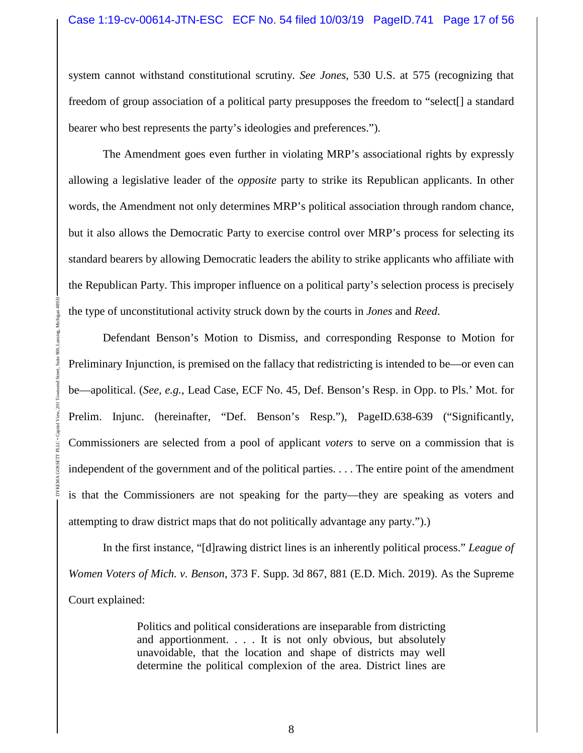system cannot withstand constitutional scrutiny. *See Jones*, 530 U.S. at 575 (recognizing that freedom of group association of a political party presupposes the freedom to "select[] a standard bearer who best represents the party's ideologies and preferences.").

The Amendment goes even further in violating MRP's associational rights by expressly allowing a legislative leader of the *opposite* party to strike its Republican applicants. In other words, the Amendment not only determines MRP's political association through random chance, but it also allows the Democratic Party to exercise control over MRP's process for selecting its standard bearers by allowing Democratic leaders the ability to strike applicants who affiliate with the Republican Party. This improper influence on a political party's selection process is precisely the type of unconstitutional activity struck down by the courts in *Jones* and *Reed*.

Defendant Benson's Motion to Dismiss, and corresponding Response to Motion for Preliminary Injunction, is premised on the fallacy that redistricting is intended to be—or even can be—apolitical. (*See, e.g.*, Lead Case, ECF No. 45, Def. Benson's Resp. in Opp. to Pls.' Mot. for Prelim. Injunc. (hereinafter, "Def. Benson's Resp."), PageID.638-639 ("Significantly, Commissioners are selected from a pool of applicant *voters* to serve on a commission that is independent of the government and of the political parties. . . . The entire point of the amendment is that the Commissioners are not speaking for the party—they are speaking as voters and attempting to draw district maps that do not politically advantage any party.").)

DYKEMA GOSSETT PLLC • Capitol View, 201 Townsend Street, Suite 900, Lansing, Michigan 48933

In the first instance, "[d]rawing district lines is an inherently political process." *League of Women Voters of Mich. v. Benson*, 373 F. Supp. 3d 867, 881 (E.D. Mich. 2019). As the Supreme Court explained:

> Politics and political considerations are inseparable from districting and apportionment. . . . It is not only obvious, but absolutely unavoidable, that the location and shape of districts may well determine the political complexion of the area. District lines are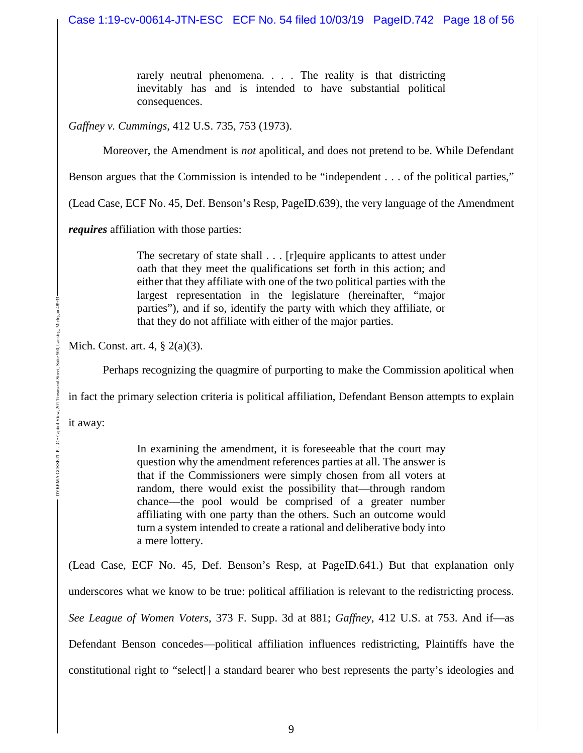rarely neutral phenomena. . . . The reality is that districting inevitably has and is intended to have substantial political consequences.

*Gaffney v. Cummings*, 412 U.S. 735, 753 (1973).

Moreover, the Amendment is *not* apolitical, and does not pretend to be. While Defendant

Benson argues that the Commission is intended to be "independent . . . of the political parties,"

(Lead Case, ECF No. 45, Def. Benson's Resp, PageID.639), the very language of the Amendment

*requires* affiliation with those parties:

The secretary of state shall . . . [r]equire applicants to attest under oath that they meet the qualifications set forth in this action; and either that they affiliate with one of the two political parties with the largest representation in the legislature (hereinafter, "major parties"), and if so, identify the party with which they affiliate, or that they do not affiliate with either of the major parties.

Mich. Const. art. 4, § 2(a)(3).

Perhaps recognizing the quagmire of purporting to make the Commission apolitical when

in fact the primary selection criteria is political affiliation, Defendant Benson attempts to explain

it away:

In examining the amendment, it is foreseeable that the court may question why the amendment references parties at all. The answer is that if the Commissioners were simply chosen from all voters at random, there would exist the possibility that—through random chance—the pool would be comprised of a greater number affiliating with one party than the others. Such an outcome would turn a system intended to create a rational and deliberative body into a mere lottery.

(Lead Case, ECF No. 45, Def. Benson's Resp, at PageID.641.) But that explanation only underscores what we know to be true: political affiliation is relevant to the redistricting process. *See League of Women Voters*, 373 F. Supp. 3d at 881; *Gaffney*, 412 U.S. at 753. And if—as Defendant Benson concedes—political affiliation influences redistricting, Plaintiffs have the constitutional right to "select[] a standard bearer who best represents the party's ideologies and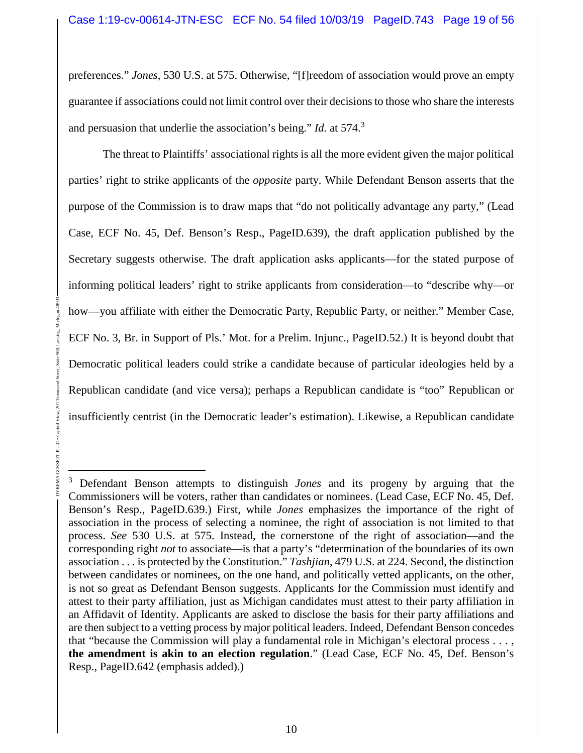preferences." *Jones*, 530 U.S. at 575. Otherwise, "[f]reedom of association would prove an empty guarantee if associations could not limit control over their decisions to those who share the interests and persuasion that underlie the association's being." *Id.* at 574.<sup>3</sup>

The threat to Plaintiffs' associational rights is all the more evident given the major political parties' right to strike applicants of the *opposite* party. While Defendant Benson asserts that the purpose of the Commission is to draw maps that "do not politically advantage any party," (Lead Case, ECF No. 45, Def. Benson's Resp., PageID.639), the draft application published by the Secretary suggests otherwise. The draft application asks applicants—for the stated purpose of informing political leaders' right to strike applicants from consideration—to "describe why—or how—you affiliate with either the Democratic Party, Republic Party, or neither." Member Case, ECF No. 3, Br. in Support of Pls.' Mot. for a Prelim. Injunc., PageID.52.) It is beyond doubt that Democratic political leaders could strike a candidate because of particular ideologies held by a Republican candidate (and vice versa); perhaps a Republican candidate is "too" Republican or insufficiently centrist (in the Democratic leader's estimation). Likewise, a Republican candidate

DYKEMA GOSSETT PLLC • Capitol View, 201 Townsend Street, Suite 900, Lansing, Michigan 48933

PLLC

<sup>3</sup> Defendant Benson attempts to distinguish *Jones* and its progeny by arguing that the Commissioners will be voters, rather than candidates or nominees. (Lead Case, ECF No. 45, Def. Benson's Resp., PageID.639.) First, while *Jones* emphasizes the importance of the right of association in the process of selecting a nominee, the right of association is not limited to that process. *See* 530 U.S. at 575. Instead, the cornerstone of the right of association—and the corresponding right *not* to associate—is that a party's "determination of the boundaries of its own association . . . is protected by the Constitution." *Tashjian*, 479 U.S. at 224. Second, the distinction between candidates or nominees, on the one hand, and politically vetted applicants, on the other, is not so great as Defendant Benson suggests. Applicants for the Commission must identify and attest to their party affiliation, just as Michigan candidates must attest to their party affiliation in an Affidavit of Identity. Applicants are asked to disclose the basis for their party affiliations and are then subject to a vetting process by major political leaders. Indeed, Defendant Benson concedes that "because the Commission will play a fundamental role in Michigan's electoral process . . . , **the amendment is akin to an election regulation**." (Lead Case, ECF No. 45, Def. Benson's Resp., PageID.642 (emphasis added).)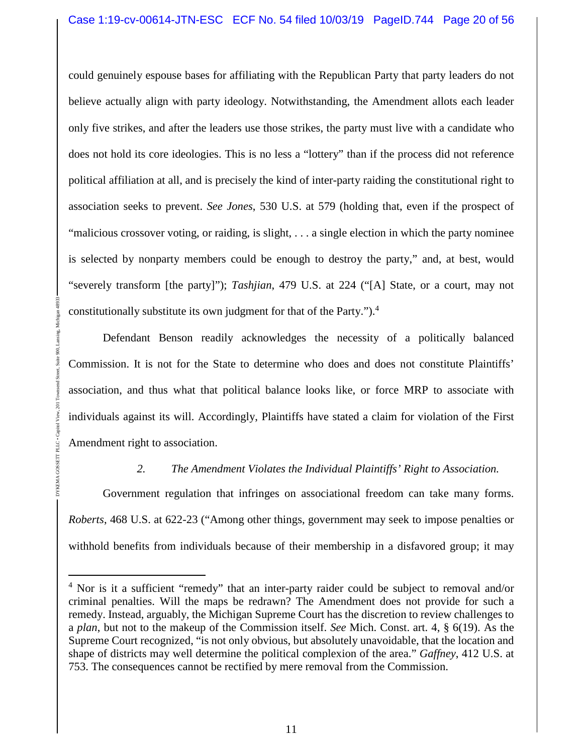could genuinely espouse bases for affiliating with the Republican Party that party leaders do not believe actually align with party ideology. Notwithstanding, the Amendment allots each leader only five strikes, and after the leaders use those strikes, the party must live with a candidate who does not hold its core ideologies. This is no less a "lottery" than if the process did not reference political affiliation at all, and is precisely the kind of inter-party raiding the constitutional right to association seeks to prevent. *See Jones*, 530 U.S. at 579 (holding that, even if the prospect of "malicious crossover voting, or raiding, is slight, . . . a single election in which the party nominee is selected by nonparty members could be enough to destroy the party," and, at best, would "severely transform [the party]"); *Tashjian*, 479 U.S. at 224 ("[A] State, or a court, may not constitutionally substitute its own judgment for that of the Party.").<sup>4</sup>

Defendant Benson readily acknowledges the necessity of a politically balanced Commission. It is not for the State to determine who does and does not constitute Plaintiffs' association, and thus what that political balance looks like, or force MRP to associate with individuals against its will. Accordingly, Plaintiffs have stated a claim for violation of the First Amendment right to association.

DYKEMA GOSSETT PLLC • Capitol View, 201 Townsend Street, Suite 900, Lansing, Michigan 48933

 $\sum$ 

DYKEMA GOSSETT

### *2. The Amendment Violates the Individual Plaintiffs' Right to Association.*

Government regulation that infringes on associational freedom can take many forms. *Roberts*, 468 U.S. at 622-23 ("Among other things, government may seek to impose penalties or withhold benefits from individuals because of their membership in a disfavored group; it may

<sup>&</sup>lt;sup>4</sup> Nor is it a sufficient "remedy" that an inter-party raider could be subject to removal and/or criminal penalties. Will the maps be redrawn? The Amendment does not provide for such a remedy. Instead, arguably, the Michigan Supreme Court has the discretion to review challenges to a *plan*, but not to the makeup of the Commission itself. *See* Mich. Const. art. 4, § 6(19). As the Supreme Court recognized, "is not only obvious, but absolutely unavoidable, that the location and shape of districts may well determine the political complexion of the area." *Gaffney*, 412 U.S. at 753. The consequences cannot be rectified by mere removal from the Commission.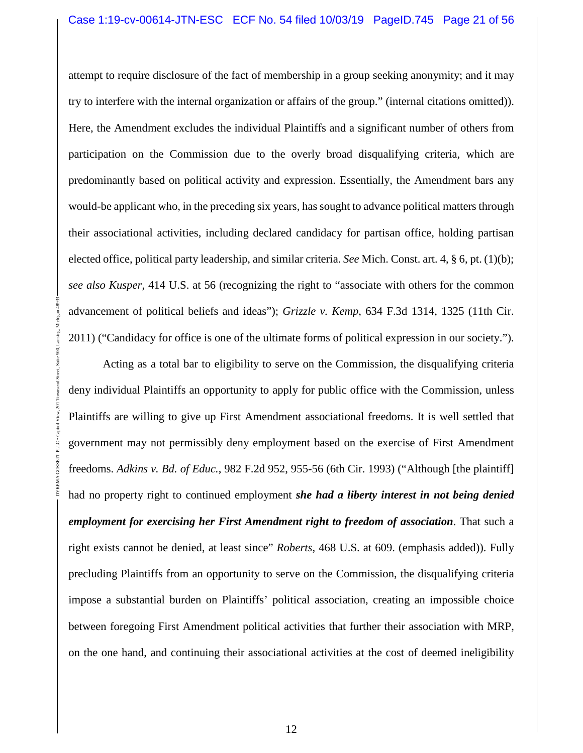attempt to require disclosure of the fact of membership in a group seeking anonymity; and it may try to interfere with the internal organization or affairs of the group." (internal citations omitted)). Here, the Amendment excludes the individual Plaintiffs and a significant number of others from participation on the Commission due to the overly broad disqualifying criteria, which are predominantly based on political activity and expression. Essentially, the Amendment bars any would-be applicant who, in the preceding six years, has sought to advance political matters through their associational activities, including declared candidacy for partisan office, holding partisan elected office, political party leadership, and similar criteria. *See* Mich. Const. art. 4, § 6, pt. (1)(b); *see also Kusper*, 414 U.S. at 56 (recognizing the right to "associate with others for the common advancement of political beliefs and ideas"); *Grizzle v. Kemp*, 634 F.3d 1314, 1325 (11th Cir. 2011) ("Candidacy for office is one of the ultimate forms of political expression in our society.").

Acting as a total bar to eligibility to serve on the Commission, the disqualifying criteria deny individual Plaintiffs an opportunity to apply for public office with the Commission, unless Plaintiffs are willing to give up First Amendment associational freedoms. It is well settled that government may not permissibly deny employment based on the exercise of First Amendment freedoms. *Adkins v. Bd. of Educ.*, 982 F.2d 952, 955-56 (6th Cir. 1993) ("Although [the plaintiff] had no property right to continued employment *she had a liberty interest in not being denied employment for exercising her First Amendment right to freedom of association*. That such a right exists cannot be denied, at least since" *Roberts*, 468 U.S. at 609. (emphasis added)). Fully precluding Plaintiffs from an opportunity to serve on the Commission, the disqualifying criteria impose a substantial burden on Plaintiffs' political association, creating an impossible choice between foregoing First Amendment political activities that further their association with MRP, on the one hand, and continuing their associational activities at the cost of deemed ineligibility

DYKEMA GOSSETT PLLC • Capitol View, 201 Townsend Street, Suite 900, Lansing, Michigan 48933

PLLC.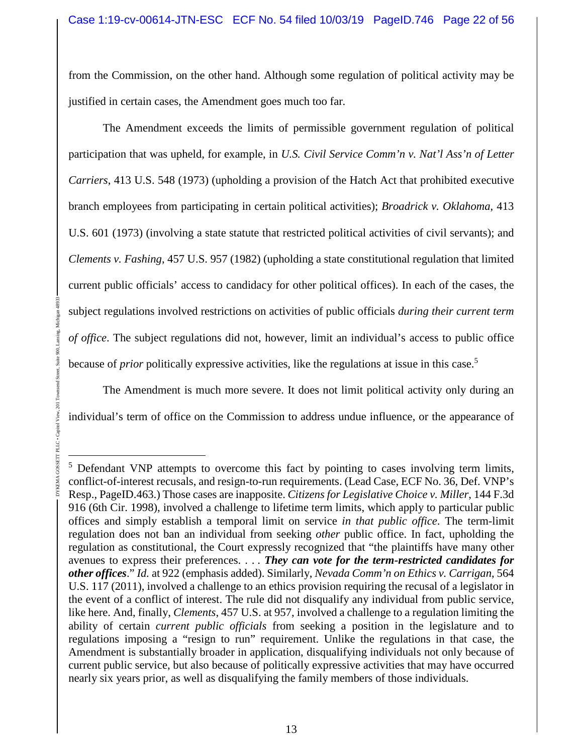from the Commission, on the other hand. Although some regulation of political activity may be justified in certain cases, the Amendment goes much too far.

The Amendment exceeds the limits of permissible government regulation of political participation that was upheld, for example, in *U.S. Civil Service Comm'n v. Nat'l Ass'n of Letter Carriers*, 413 U.S. 548 (1973) (upholding a provision of the Hatch Act that prohibited executive branch employees from participating in certain political activities); *Broadrick v. Oklahoma*, 413 U.S. 601 (1973) (involving a state statute that restricted political activities of civil servants); and *Clements v. Fashing*, 457 U.S. 957 (1982) (upholding a state constitutional regulation that limited current public officials' access to candidacy for other political offices). In each of the cases, the subject regulations involved restrictions on activities of public officials *during their current term of office*. The subject regulations did not, however, limit an individual's access to public office because of *prior* politically expressive activities, like the regulations at issue in this case.<sup>5</sup>

The Amendment is much more severe. It does not limit political activity only during an individual's term of office on the Commission to address undue influence, or the appearance of

DYKEMA GOSSETT PLLC • Capitol View, 201 Townsend Street, Suite 900, Lansing, Michigan 48933

GOSSETT PLLC . C

<sup>&</sup>lt;sup>5</sup> Defendant VNP attempts to overcome this fact by pointing to cases involving term limits, conflict-of-interest recusals, and resign-to-run requirements. (Lead Case, ECF No. 36, Def. VNP's Resp., PageID.463.) Those cases are inapposite. *Citizens for Legislative Choice v. Miller*, 144 F.3d 916 (6th Cir. 1998), involved a challenge to lifetime term limits, which apply to particular public offices and simply establish a temporal limit on service *in that public office*. The term-limit regulation does not ban an individual from seeking *other* public office. In fact, upholding the regulation as constitutional, the Court expressly recognized that "the plaintiffs have many other avenues to express their preferences. . . . *They can vote for the term-restricted candidates for other offices*." *Id.* at 922 (emphasis added). Similarly, *Nevada Comm'n on Ethics v. Carrigan*, 564 U.S. 117 (2011), involved a challenge to an ethics provision requiring the recusal of a legislator in the event of a conflict of interest. The rule did not disqualify any individual from public service, like here. And, finally, *Clements*, 457 U.S. at 957, involved a challenge to a regulation limiting the ability of certain *current public officials* from seeking a position in the legislature and to regulations imposing a "resign to run" requirement. Unlike the regulations in that case, the Amendment is substantially broader in application, disqualifying individuals not only because of current public service, but also because of politically expressive activities that may have occurred nearly six years prior, as well as disqualifying the family members of those individuals.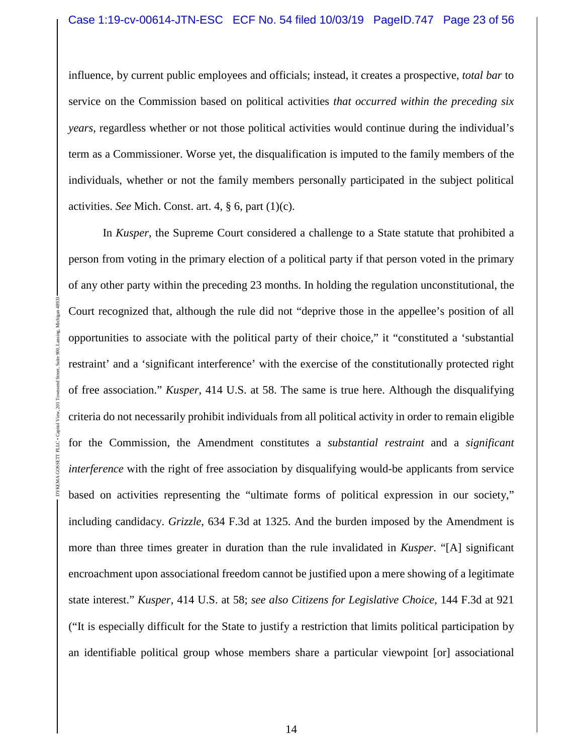influence, by current public employees and officials; instead, it creates a prospective, *total bar* to service on the Commission based on political activities *that occurred within the preceding six years*, regardless whether or not those political activities would continue during the individual's term as a Commissioner. Worse yet, the disqualification is imputed to the family members of the individuals, whether or not the family members personally participated in the subject political activities. *See* Mich. Const. art. 4, § 6, part (1)(c).

In *Kusper*, the Supreme Court considered a challenge to a State statute that prohibited a person from voting in the primary election of a political party if that person voted in the primary of any other party within the preceding 23 months. In holding the regulation unconstitutional, the Court recognized that, although the rule did not "deprive those in the appellee's position of all opportunities to associate with the political party of their choice," it "constituted a 'substantial restraint' and a 'significant interference' with the exercise of the constitutionally protected right of free association." *Kusper*, 414 U.S. at 58. The same is true here. Although the disqualifying criteria do not necessarily prohibit individuals from all political activity in order to remain eligible for the Commission, the Amendment constitutes a *substantial restraint* and a *significant interference* with the right of free association by disqualifying would-be applicants from service based on activities representing the "ultimate forms of political expression in our society," including candidacy. *Grizzle*, 634 F.3d at 1325. And the burden imposed by the Amendment is more than three times greater in duration than the rule invalidated in *Kusper*. "[A] significant encroachment upon associational freedom cannot be justified upon a mere showing of a legitimate state interest." *Kusper*, 414 U.S. at 58; *see also Citizens for Legislative Choice*, 144 F.3d at 921 ("It is especially difficult for the State to justify a restriction that limits political participation by an identifiable political group whose members share a particular viewpoint [or] associational

DYKEMA GOSSETT PLLC • Capitol View, 201 Townsend Street, Suite 900, Lansing, Michigan 48933

PLLC . Capit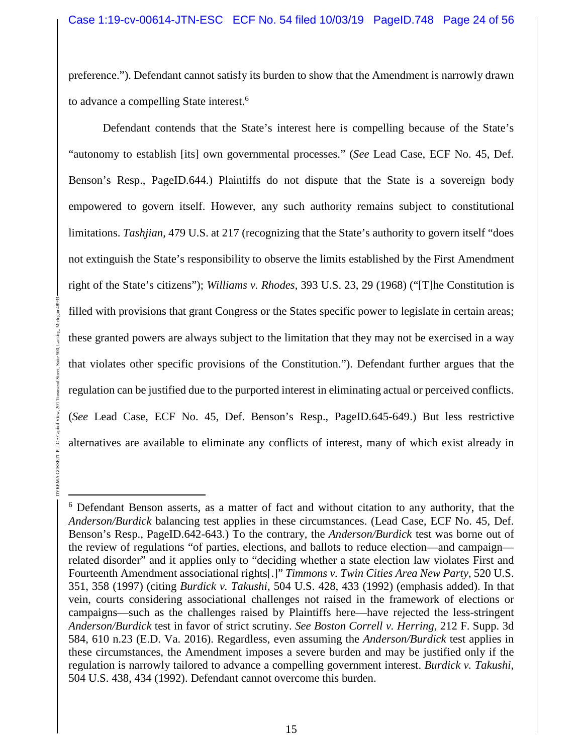preference."). Defendant cannot satisfy its burden to show that the Amendment is narrowly drawn to advance a compelling State interest.<sup>6</sup>

Defendant contends that the State's interest here is compelling because of the State's "autonomy to establish [its] own governmental processes." (*See* Lead Case, ECF No. 45, Def. Benson's Resp., PageID.644.) Plaintiffs do not dispute that the State is a sovereign body empowered to govern itself. However, any such authority remains subject to constitutional limitations. *Tashjian*, 479 U.S. at 217 (recognizing that the State's authority to govern itself "does not extinguish the State's responsibility to observe the limits established by the First Amendment right of the State's citizens"); *Williams v. Rhodes*, 393 U.S. 23, 29 (1968) ("[T]he Constitution is filled with provisions that grant Congress or the States specific power to legislate in certain areas; these granted powers are always subject to the limitation that they may not be exercised in a way that violates other specific provisions of the Constitution."). Defendant further argues that the regulation can be justified due to the purported interest in eliminating actual or perceived conflicts. (*See* Lead Case, ECF No. 45, Def. Benson's Resp., PageID.645-649.) But less restrictive alternatives are available to eliminate any conflicts of interest, many of which exist already in

DYKEMA GOSSETT PLLC • Capitol View, 201 Townsend Street, Suite 900, Lansing, Michigan 48933

DYKEMA GOSSETI

<sup>&</sup>lt;sup>6</sup> Defendant Benson asserts, as a matter of fact and without citation to any authority, that the *Anderson/Burdick* balancing test applies in these circumstances. (Lead Case, ECF No. 45, Def. Benson's Resp., PageID.642-643.) To the contrary, the *Anderson/Burdick* test was borne out of the review of regulations "of parties, elections, and ballots to reduce election—and campaign related disorder" and it applies only to "deciding whether a state election law violates First and Fourteenth Amendment associational rights[.]" *Timmons v. Twin Cities Area New Party*, 520 U.S. 351, 358 (1997) (citing *Burdick v. Takushi*, 504 U.S. 428, 433 (1992) (emphasis added). In that vein, courts considering associational challenges not raised in the framework of elections or campaigns—such as the challenges raised by Plaintiffs here—have rejected the less-stringent *Anderson/Burdick* test in favor of strict scrutiny. *See Boston Correll v. Herring*, 212 F. Supp. 3d 584, 610 n.23 (E.D. Va. 2016). Regardless, even assuming the *Anderson/Burdick* test applies in these circumstances, the Amendment imposes a severe burden and may be justified only if the regulation is narrowly tailored to advance a compelling government interest. *Burdick v. Takushi*, 504 U.S. 438, 434 (1992). Defendant cannot overcome this burden.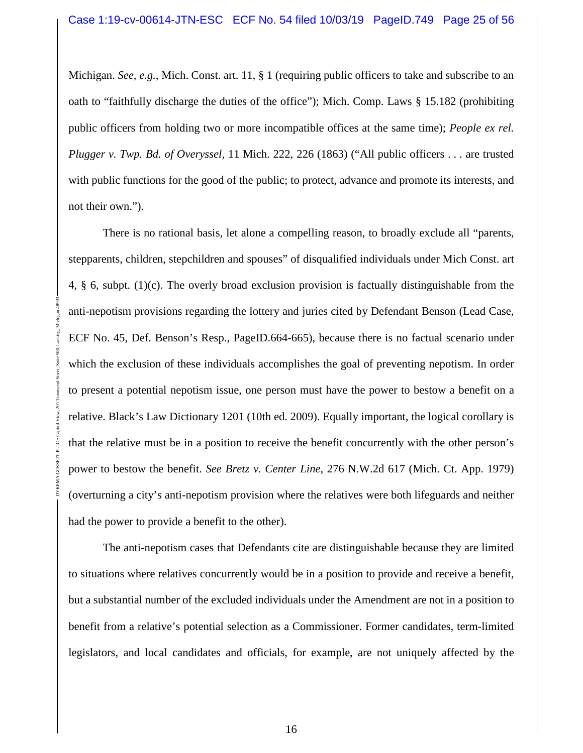Michigan. *See, e.g.*, Mich. Const. art. 11, § 1 (requiring public officers to take and subscribe to an oath to "faithfully discharge the duties of the office"); Mich. Comp. Laws § 15.182 (prohibiting public officers from holding two or more incompatible offices at the same time); *People ex rel. Plugger v. Twp. Bd. of Overyssel*, 11 Mich. 222, 226 (1863) ("All public officers . . . are trusted with public functions for the good of the public; to protect, advance and promote its interests, and not their own.").

There is no rational basis, let alone a compelling reason, to broadly exclude all "parents, stepparents, children, stepchildren and spouses" of disqualified individuals under Mich Const. art 4, § 6, subpt. (1)(c). The overly broad exclusion provision is factually distinguishable from the anti-nepotism provisions regarding the lottery and juries cited by Defendant Benson (Lead Case, ECF No. 45, Def. Benson's Resp., PageID.664-665), because there is no factual scenario under which the exclusion of these individuals accomplishes the goal of preventing nepotism. In order to present a potential nepotism issue, one person must have the power to bestow a benefit on a relative. Black's Law Dictionary 1201 (10th ed. 2009). Equally important, the logical corollary is that the relative must be in a position to receive the benefit concurrently with the other person's power to bestow the benefit. *See Bretz v. Center Line*, 276 N.W.2d 617 (Mich. Ct. App. 1979) (overturning a city's anti-nepotism provision where the relatives were both lifeguards and neither had the power to provide a benefit to the other).

DYKEMA GOSSETT PLLC • Capitol View, 201 Townsend Street, Suite 900, Lansing, Michigan 48933

The anti-nepotism cases that Defendants cite are distinguishable because they are limited to situations where relatives concurrently would be in a position to provide and receive a benefit, but a substantial number of the excluded individuals under the Amendment are not in a position to benefit from a relative's potential selection as a Commissioner. Former candidates, term-limited legislators, and local candidates and officials, for example, are not uniquely affected by the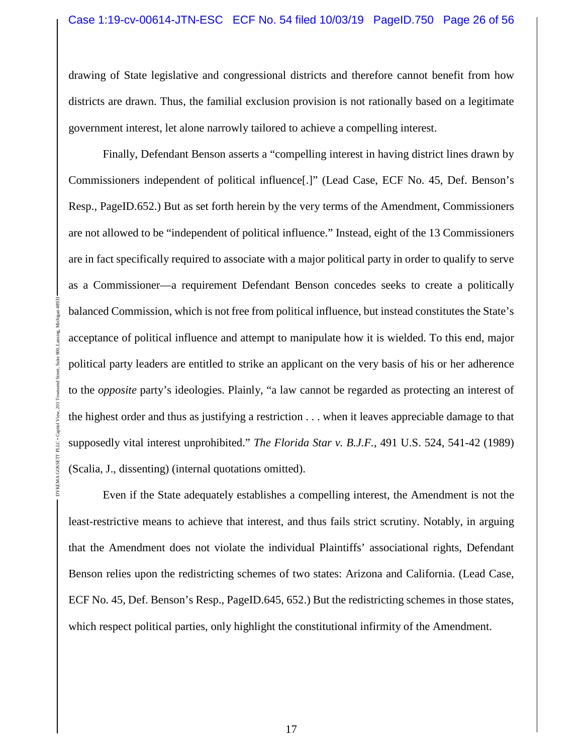drawing of State legislative and congressional districts and therefore cannot benefit from how districts are drawn. Thus, the familial exclusion provision is not rationally based on a legitimate government interest, let alone narrowly tailored to achieve a compelling interest.

Finally, Defendant Benson asserts a "compelling interest in having district lines drawn by Commissioners independent of political influence[.]" (Lead Case, ECF No. 45, Def. Benson's Resp., PageID.652.) But as set forth herein by the very terms of the Amendment, Commissioners are not allowed to be "independent of political influence." Instead, eight of the 13 Commissioners are in fact specifically required to associate with a major political party in order to qualify to serve as a Commissioner—a requirement Defendant Benson concedes seeks to create a politically balanced Commission, which is not free from political influence, but instead constitutes the State's acceptance of political influence and attempt to manipulate how it is wielded. To this end, major political party leaders are entitled to strike an applicant on the very basis of his or her adherence to the *opposite* party's ideologies. Plainly, "a law cannot be regarded as protecting an interest of the highest order and thus as justifying a restriction . . . when it leaves appreciable damage to that supposedly vital interest unprohibited." *The Florida Star v. B.J.F.*, 491 U.S. 524, 541-42 (1989) (Scalia, J., dissenting) (internal quotations omitted).

DYKEMA GOSSETT PLLC • Capitol View, 201 Townsend Street, Suite 900, Lansing, Michigan 48933

GOSSETT PLLC . C

**DYKEMA** 

Even if the State adequately establishes a compelling interest, the Amendment is not the least-restrictive means to achieve that interest, and thus fails strict scrutiny. Notably, in arguing that the Amendment does not violate the individual Plaintiffs' associational rights, Defendant Benson relies upon the redistricting schemes of two states: Arizona and California. (Lead Case, ECF No. 45, Def. Benson's Resp., PageID.645, 652.) But the redistricting schemes in those states, which respect political parties, only highlight the constitutional infirmity of the Amendment.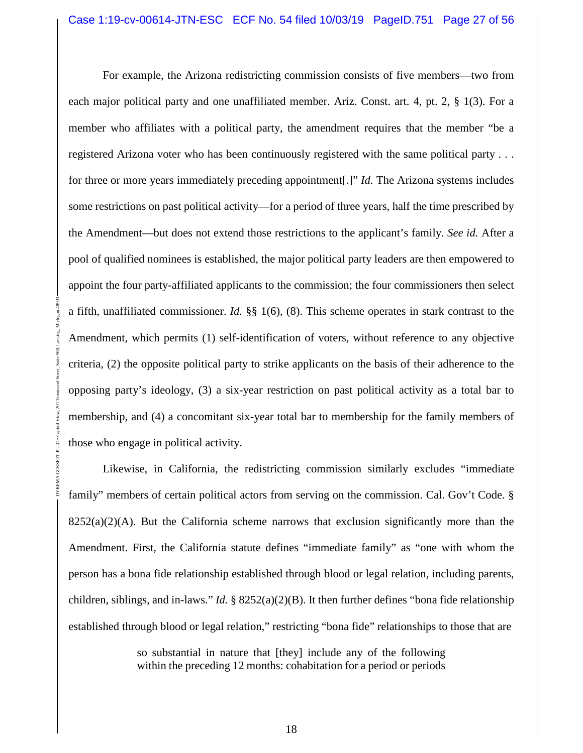For example, the Arizona redistricting commission consists of five members—two from each major political party and one unaffiliated member. Ariz. Const. art. 4, pt. 2, § 1(3). For a member who affiliates with a political party, the amendment requires that the member "be a registered Arizona voter who has been continuously registered with the same political party . . . for three or more years immediately preceding appointment[.]" *Id.* The Arizona systems includes some restrictions on past political activity—for a period of three years, half the time prescribed by the Amendment—but does not extend those restrictions to the applicant's family. *See id.* After a pool of qualified nominees is established, the major political party leaders are then empowered to appoint the four party-affiliated applicants to the commission; the four commissioners then select a fifth, unaffiliated commissioner. *Id.* §§ 1(6), (8). This scheme operates in stark contrast to the Amendment, which permits (1) self-identification of voters, without reference to any objective criteria, (2) the opposite political party to strike applicants on the basis of their adherence to the opposing party's ideology, (3) a six-year restriction on past political activity as a total bar to membership, and (4) a concomitant six-year total bar to membership for the family members of those who engage in political activity.

DYKEMA GOSSETT PLLC • Capitol View, 201 Townsend Street, Suite 900, Lansing, Michigan 48933

Likewise, in California, the redistricting commission similarly excludes "immediate family" members of certain political actors from serving on the commission. Cal. Gov't Code. §  $8252(a)(2)(A)$ . But the California scheme narrows that exclusion significantly more than the Amendment. First, the California statute defines "immediate family" as "one with whom the person has a bona fide relationship established through blood or legal relation, including parents, children, siblings, and in-laws." *Id.* § 8252(a)(2)(B). It then further defines "bona fide relationship established through blood or legal relation," restricting "bona fide" relationships to those that are

> so substantial in nature that [they] include any of the following within the preceding 12 months: cohabitation for a period or periods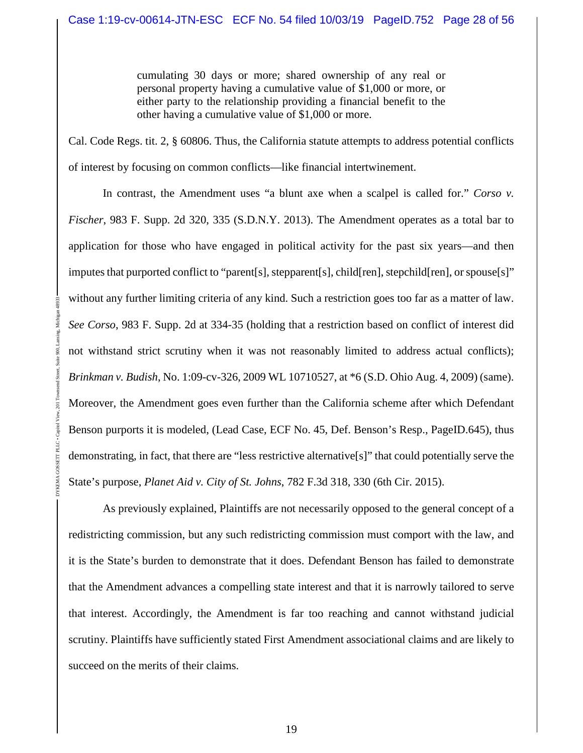cumulating 30 days or more; shared ownership of any real or personal property having a cumulative value of \$1,000 or more, or either party to the relationship providing a financial benefit to the other having a cumulative value of \$1,000 or more.

Cal. Code Regs. tit. 2, § 60806. Thus, the California statute attempts to address potential conflicts of interest by focusing on common conflicts—like financial intertwinement.

In contrast, the Amendment uses "a blunt axe when a scalpel is called for." *Corso v. Fischer*, 983 F. Supp. 2d 320, 335 (S.D.N.Y. 2013). The Amendment operates as a total bar to application for those who have engaged in political activity for the past six years—and then imputes that purported conflict to "parent[s], stepparent[s], child[ren], stepchild[ren], or spouse[s]" without any further limiting criteria of any kind. Such a restriction goes too far as a matter of law. *See Corso*, 983 F. Supp. 2d at 334-35 (holding that a restriction based on conflict of interest did not withstand strict scrutiny when it was not reasonably limited to address actual conflicts); *Brinkman v. Budish*, No. 1:09-cv-326, 2009 WL 10710527, at \*6 (S.D. Ohio Aug. 4, 2009) (same). Moreover, the Amendment goes even further than the California scheme after which Defendant Benson purports it is modeled, (Lead Case, ECF No. 45, Def. Benson's Resp., PageID.645), thus demonstrating, in fact, that there are "less restrictive alternative[s]" that could potentially serve the State's purpose, *Planet Aid v. City of St. Johns*, 782 F.3d 318, 330 (6th Cir. 2015).

DYKEMA GOSSETT PLLC • Capitol View, 201 Townsend Street, Suite 900, Lansing, Michigan 48933

As previously explained, Plaintiffs are not necessarily opposed to the general concept of a redistricting commission, but any such redistricting commission must comport with the law, and it is the State's burden to demonstrate that it does. Defendant Benson has failed to demonstrate that the Amendment advances a compelling state interest and that it is narrowly tailored to serve that interest. Accordingly, the Amendment is far too reaching and cannot withstand judicial scrutiny. Plaintiffs have sufficiently stated First Amendment associational claims and are likely to succeed on the merits of their claims.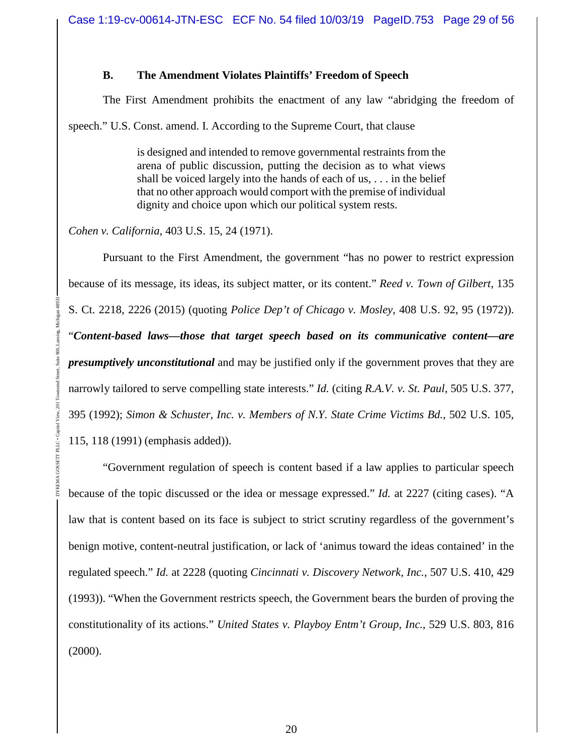#### **B. The Amendment Violates Plaintiffs' Freedom of Speech**

The First Amendment prohibits the enactment of any law "abridging the freedom of

speech." U.S. Const. amend. I. According to the Supreme Court, that clause

is designed and intended to remove governmental restraints from the arena of public discussion, putting the decision as to what views shall be voiced largely into the hands of each of us, . . . in the belief that no other approach would comport with the premise of individual dignity and choice upon which our political system rests.

*Cohen v. California*, 403 U.S. 15, 24 (1971).

DYKEMA GOSSETT PLLC • Capitol View, 201 Townsend Street, Suite 900, Lansing, Michigan 48933

Pursuant to the First Amendment, the government "has no power to restrict expression because of its message, its ideas, its subject matter, or its content." *Reed v. Town of Gilbert*, 135 S. Ct. 2218, 2226 (2015) (quoting *Police Dep't of Chicago v. Mosley*, 408 U.S. 92, 95 (1972)). "*Content-based laws—those that target speech based on its communicative content—are presumptively unconstitutional* and may be justified only if the government proves that they are narrowly tailored to serve compelling state interests." *Id.* (citing *R.A.V. v. St. Paul*, 505 U.S. 377, 395 (1992); *Simon & Schuster, Inc. v. Members of N.Y. State Crime Victims Bd.*, 502 U.S. 105, 115, 118 (1991) (emphasis added)).

"Government regulation of speech is content based if a law applies to particular speech because of the topic discussed or the idea or message expressed." *Id.* at 2227 (citing cases). "A law that is content based on its face is subject to strict scrutiny regardless of the government's benign motive, content-neutral justification, or lack of 'animus toward the ideas contained' in the regulated speech." *Id.* at 2228 (quoting *Cincinnati v. Discovery Network, Inc.*, 507 U.S. 410, 429 (1993)). "When the Government restricts speech, the Government bears the burden of proving the constitutionality of its actions." *United States v. Playboy Entm't Group, Inc.*, 529 U.S. 803, 816 (2000).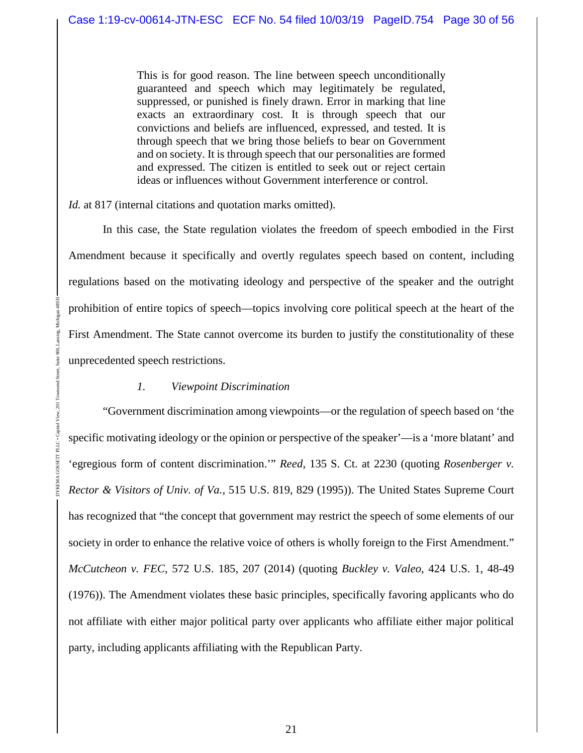This is for good reason. The line between speech unconditionally guaranteed and speech which may legitimately be regulated, suppressed, or punished is finely drawn. Error in marking that line exacts an extraordinary cost. It is through speech that our convictions and beliefs are influenced, expressed, and tested. It is through speech that we bring those beliefs to bear on Government and on society. It is through speech that our personalities are formed and expressed. The citizen is entitled to seek out or reject certain ideas or influences without Government interference or control.

*Id.* at 817 (internal citations and quotation marks omitted).

In this case, the State regulation violates the freedom of speech embodied in the First Amendment because it specifically and overtly regulates speech based on content, including regulations based on the motivating ideology and perspective of the speaker and the outright prohibition of entire topics of speech—topics involving core political speech at the heart of the First Amendment. The State cannot overcome its burden to justify the constitutionality of these unprecedented speech restrictions.

#### *1. Viewpoint Discrimination*

DYKEMA GOSSETT PLLC • Capitol View, 201 Townsend Street, Suite 900, Lansing, Michigan 48933

 $201$ 

"Government discrimination among viewpoints—or the regulation of speech based on 'the specific motivating ideology or the opinion or perspective of the speaker'—is a 'more blatant' and 'egregious form of content discrimination.'" *Reed*, 135 S. Ct. at 2230 (quoting *Rosenberger v. Rector & Visitors of Univ. of Va.*, 515 U.S. 819, 829 (1995)). The United States Supreme Court has recognized that "the concept that government may restrict the speech of some elements of our society in order to enhance the relative voice of others is wholly foreign to the First Amendment." *McCutcheon v. FEC*, 572 U.S. 185, 207 (2014) (quoting *Buckley v. Valeo*, 424 U.S. 1, 48-49 (1976)). The Amendment violates these basic principles, specifically favoring applicants who do not affiliate with either major political party over applicants who affiliate either major political party, including applicants affiliating with the Republican Party.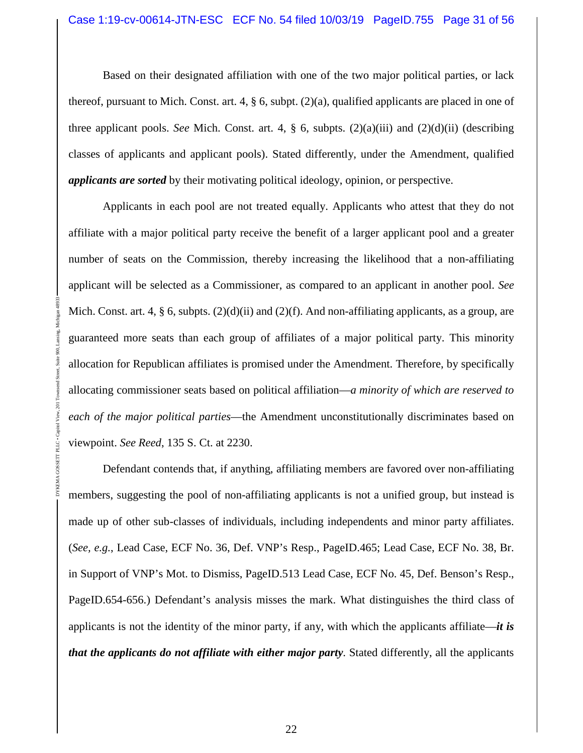Based on their designated affiliation with one of the two major political parties, or lack thereof, pursuant to Mich. Const. art. 4,  $\S$  6, subpt. (2)(a), qualified applicants are placed in one of three applicant pools. *See* Mich. Const. art. 4, § 6, subpts. (2)(a)(iii) and (2)(d)(ii) (describing classes of applicants and applicant pools). Stated differently, under the Amendment, qualified *applicants are sorted* by their motivating political ideology, opinion, or perspective.

Applicants in each pool are not treated equally. Applicants who attest that they do not affiliate with a major political party receive the benefit of a larger applicant pool and a greater number of seats on the Commission, thereby increasing the likelihood that a non-affiliating applicant will be selected as a Commissioner, as compared to an applicant in another pool. *See* Mich. Const. art. 4, § 6, subpts.  $(2)(d)(ii)$  and  $(2)(f)$ . And non-affiliating applicants, as a group, are guaranteed more seats than each group of affiliates of a major political party. This minority allocation for Republican affiliates is promised under the Amendment. Therefore, by specifically allocating commissioner seats based on political affiliation—*a minority of which are reserved to each of the major political parties*—the Amendment unconstitutionally discriminates based on viewpoint. *See Reed*, 135 S. Ct. at 2230.

DYKEMA GOSSETT PLLC • Capitol View, 201 Townsend Street, Suite 900, Lansing, Michigan 48933

PLLC . (

DYKEMA GOSSETT

Defendant contends that, if anything, affiliating members are favored over non-affiliating members, suggesting the pool of non-affiliating applicants is not a unified group, but instead is made up of other sub-classes of individuals, including independents and minor party affiliates. (*See, e.g.*, Lead Case, ECF No. 36, Def. VNP's Resp., PageID.465; Lead Case, ECF No. 38, Br. in Support of VNP's Mot. to Dismiss, PageID.513 Lead Case, ECF No. 45, Def. Benson's Resp., PageID.654-656.) Defendant's analysis misses the mark. What distinguishes the third class of applicants is not the identity of the minor party, if any, with which the applicants affiliate—*it is that the applicants do not affiliate with either major party*. Stated differently, all the applicants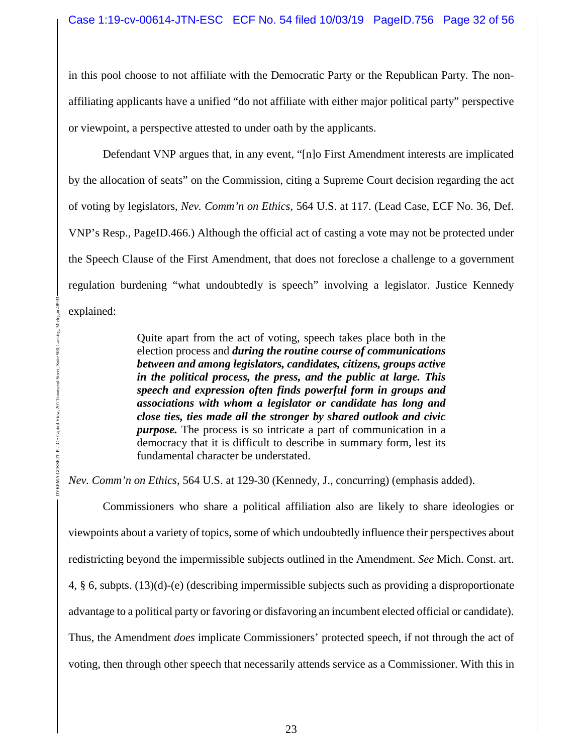in this pool choose to not affiliate with the Democratic Party or the Republican Party. The nonaffiliating applicants have a unified "do not affiliate with either major political party" perspective or viewpoint, a perspective attested to under oath by the applicants.

Defendant VNP argues that, in any event, "[n]o First Amendment interests are implicated by the allocation of seats" on the Commission, citing a Supreme Court decision regarding the act of voting by legislators, *Nev. Comm'n on Ethics*, 564 U.S. at 117. (Lead Case, ECF No. 36, Def. VNP's Resp., PageID.466.) Although the official act of casting a vote may not be protected under the Speech Clause of the First Amendment, that does not foreclose a challenge to a government regulation burdening "what undoubtedly is speech" involving a legislator. Justice Kennedy explained:

> Quite apart from the act of voting, speech takes place both in the election process and *during the routine course of communications between and among legislators, candidates, citizens, groups active in the political process, the press, and the public at large. This speech and expression often finds powerful form in groups and associations with whom a legislator or candidate has long and close ties, ties made all the stronger by shared outlook and civic purpose.* The process is so intricate a part of communication in a democracy that it is difficult to describe in summary form, lest its fundamental character be understated.

*Nev. Comm'n on Ethics*, 564 U.S. at 129-30 (Kennedy, J., concurring) (emphasis added).

DYKEMA GOSSETT PLLC • Capitol View, 201 Townsend Street, Suite 900, Lansing, Michigan 48933

**CEMA GOSSETT PLLC . Capitol View, 201** 

**Townsend Street** 

900 Suite

> Commissioners who share a political affiliation also are likely to share ideologies or viewpoints about a variety of topics, some of which undoubtedly influence their perspectives about redistricting beyond the impermissible subjects outlined in the Amendment. *See* Mich. Const. art. 4, § 6, subpts. (13)(d)-(e) (describing impermissible subjects such as providing a disproportionate advantage to a political party or favoring or disfavoring an incumbent elected official or candidate). Thus, the Amendment *does* implicate Commissioners' protected speech, if not through the act of voting, then through other speech that necessarily attends service as a Commissioner. With this in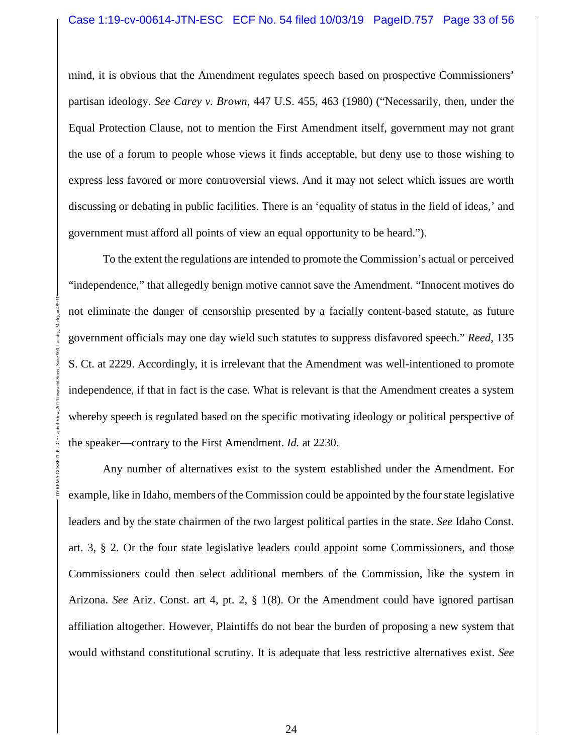mind, it is obvious that the Amendment regulates speech based on prospective Commissioners' partisan ideology. *See Carey v. Brown*, 447 U.S. 455, 463 (1980) ("Necessarily, then, under the Equal Protection Clause, not to mention the First Amendment itself, government may not grant the use of a forum to people whose views it finds acceptable, but deny use to those wishing to express less favored or more controversial views. And it may not select which issues are worth discussing or debating in public facilities. There is an 'equality of status in the field of ideas,' and government must afford all points of view an equal opportunity to be heard.").

To the extent the regulations are intended to promote the Commission's actual or perceived "independence," that allegedly benign motive cannot save the Amendment. "Innocent motives do not eliminate the danger of censorship presented by a facially content-based statute, as future government officials may one day wield such statutes to suppress disfavored speech." *Reed*, 135 S. Ct. at 2229. Accordingly, it is irrelevant that the Amendment was well-intentioned to promote independence, if that in fact is the case. What is relevant is that the Amendment creates a system whereby speech is regulated based on the specific motivating ideology or political perspective of the speaker—contrary to the First Amendment. *Id.* at 2230.

DYKEMA GOSSETT PLLC • Capitol View, 201 Townsend Street, Suite 900, Lansing, Michigan 48933

Any number of alternatives exist to the system established under the Amendment. For example, like in Idaho, members of the Commission could be appointed by the four state legislative leaders and by the state chairmen of the two largest political parties in the state. *See* Idaho Const. art. 3, § 2. Or the four state legislative leaders could appoint some Commissioners, and those Commissioners could then select additional members of the Commission, like the system in Arizona. *See* Ariz. Const. art 4, pt. 2, § 1(8). Or the Amendment could have ignored partisan affiliation altogether. However, Plaintiffs do not bear the burden of proposing a new system that would withstand constitutional scrutiny. It is adequate that less restrictive alternatives exist. *See*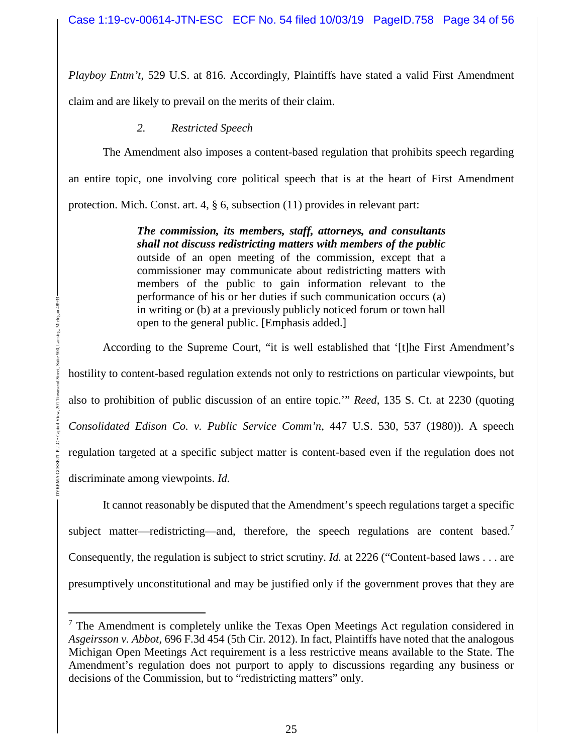*Playboy Entm't*, 529 U.S. at 816. Accordingly, Plaintiffs have stated a valid First Amendment

claim and are likely to prevail on the merits of their claim.

### *2. Restricted Speech*

The Amendment also imposes a content-based regulation that prohibits speech regarding an entire topic, one involving core political speech that is at the heart of First Amendment protection. Mich. Const. art. 4, § 6, subsection (11) provides in relevant part:

> *The commission, its members, staff, attorneys, and consultants shall not discuss redistricting matters with members of the public* outside of an open meeting of the commission, except that a commissioner may communicate about redistricting matters with members of the public to gain information relevant to the performance of his or her duties if such communication occurs (a) in writing or (b) at a previously publicly noticed forum or town hall open to the general public. [Emphasis added.]

According to the Supreme Court, "it is well established that '[t]he First Amendment's hostility to content-based regulation extends not only to restrictions on particular viewpoints, but also to prohibition of public discussion of an entire topic.'" *Reed*, 135 S. Ct. at 2230 (quoting *Consolidated Edison Co. v. Public Service Comm'n*, 447 U.S. 530, 537 (1980)). A speech regulation targeted at a specific subject matter is content-based even if the regulation does not discriminate among viewpoints. *Id.*

It cannot reasonably be disputed that the Amendment's speech regulations target a specific subject matter—redistricting—and, therefore, the speech regulations are content based.<sup>7</sup> Consequently, the regulation is subject to strict scrutiny. *Id.* at 2226 ("Content-based laws . . . are presumptively unconstitutional and may be justified only if the government proves that they are

 $7$  The Amendment is completely unlike the Texas Open Meetings Act regulation considered in *Asgeirsson v. Abbot*, 696 F.3d 454 (5th Cir. 2012). In fact, Plaintiffs have noted that the analogous Michigan Open Meetings Act requirement is a less restrictive means available to the State. The Amendment's regulation does not purport to apply to discussions regarding any business or decisions of the Commission, but to "redistricting matters" only.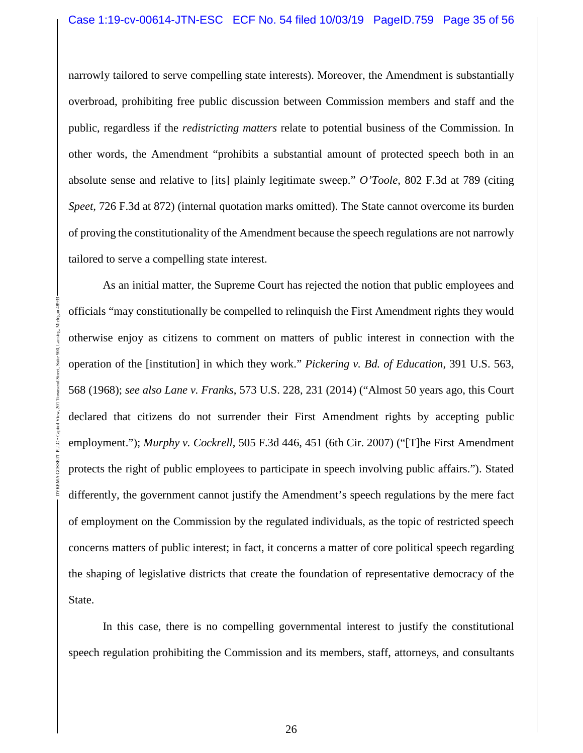#### Case 1:19-cv-00614-JTN-ESC ECF No. 54 filed 10/03/19 PageID.759 Page 35 of 56

narrowly tailored to serve compelling state interests). Moreover, the Amendment is substantially overbroad, prohibiting free public discussion between Commission members and staff and the public, regardless if the *redistricting matters* relate to potential business of the Commission. In other words, the Amendment "prohibits a substantial amount of protected speech both in an absolute sense and relative to [its] plainly legitimate sweep." *O'Toole*, 802 F.3d at 789 (citing *Speet*, 726 F.3d at 872) (internal quotation marks omitted). The State cannot overcome its burden of proving the constitutionality of the Amendment because the speech regulations are not narrowly tailored to serve a compelling state interest.

As an initial matter, the Supreme Court has rejected the notion that public employees and officials "may constitutionally be compelled to relinquish the First Amendment rights they would otherwise enjoy as citizens to comment on matters of public interest in connection with the operation of the [institution] in which they work." *Pickering v. Bd. of Education*, 391 U.S. 563, 568 (1968); *see also Lane v. Franks*, 573 U.S. 228, 231 (2014) ("Almost 50 years ago, this Court declared that citizens do not surrender their First Amendment rights by accepting public employment."); *Murphy v. Cockrell*, 505 F.3d 446, 451 (6th Cir. 2007) ("[T]he First Amendment protects the right of public employees to participate in speech involving public affairs."). Stated differently, the government cannot justify the Amendment's speech regulations by the mere fact of employment on the Commission by the regulated individuals, as the topic of restricted speech concerns matters of public interest; in fact, it concerns a matter of core political speech regarding the shaping of legislative districts that create the foundation of representative democracy of the State.

DYKEMA GOSSETT PLLC • Capitol View, 201 Townsend Street, Suite 900, Lansing, Michigan 48933

In this case, there is no compelling governmental interest to justify the constitutional speech regulation prohibiting the Commission and its members, staff, attorneys, and consultants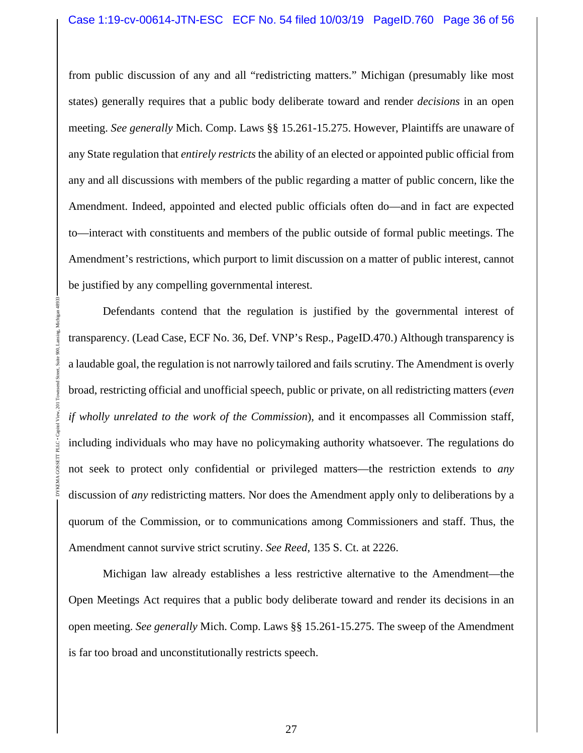from public discussion of any and all "redistricting matters." Michigan (presumably like most states) generally requires that a public body deliberate toward and render *decisions* in an open meeting. *See generally* Mich. Comp. Laws §§ 15.261-15.275. However, Plaintiffs are unaware of any State regulation that *entirely restricts* the ability of an elected or appointed public official from any and all discussions with members of the public regarding a matter of public concern, like the Amendment. Indeed, appointed and elected public officials often do—and in fact are expected to—interact with constituents and members of the public outside of formal public meetings. The Amendment's restrictions, which purport to limit discussion on a matter of public interest, cannot be justified by any compelling governmental interest.

Defendants contend that the regulation is justified by the governmental interest of transparency. (Lead Case, ECF No. 36, Def. VNP's Resp., PageID.470.) Although transparency is a laudable goal, the regulation is not narrowly tailored and fails scrutiny. The Amendment is overly broad, restricting official and unofficial speech, public or private, on all redistricting matters (*even if wholly unrelated to the work of the Commission*), and it encompasses all Commission staff, including individuals who may have no policymaking authority whatsoever. The regulations do not seek to protect only confidential or privileged matters—the restriction extends to *any* discussion of *any* redistricting matters. Nor does the Amendment apply only to deliberations by a quorum of the Commission, or to communications among Commissioners and staff. Thus, the Amendment cannot survive strict scrutiny. *See Reed*, 135 S. Ct. at 2226.

DYKEMA GOSSETT PLLC • Capitol View, 201 Townsend Street, Suite 900, Lansing, Michigan 48933

Michigan law already establishes a less restrictive alternative to the Amendment—the Open Meetings Act requires that a public body deliberate toward and render its decisions in an open meeting. *See generally* Mich. Comp. Laws §§ 15.261-15.275. The sweep of the Amendment is far too broad and unconstitutionally restricts speech.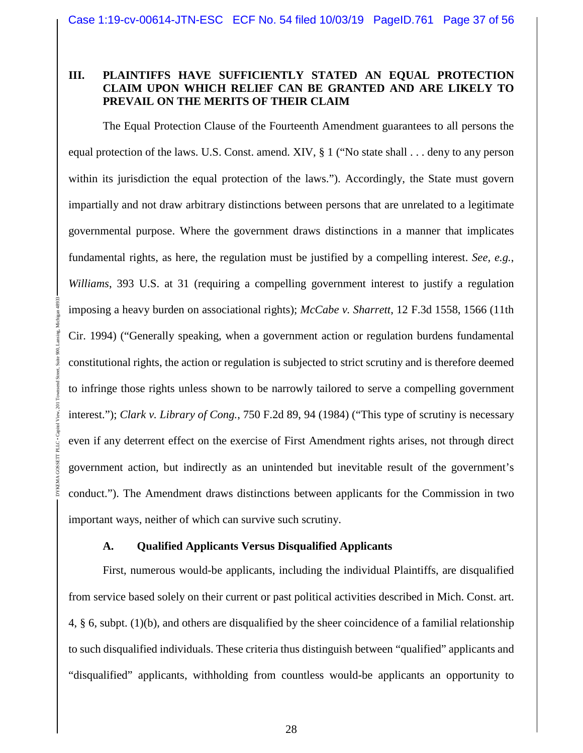### **III. PLAINTIFFS HAVE SUFFICIENTLY STATED AN EQUAL PROTECTION CLAIM UPON WHICH RELIEF CAN BE GRANTED AND ARE LIKELY TO PREVAIL ON THE MERITS OF THEIR CLAIM**

The Equal Protection Clause of the Fourteenth Amendment guarantees to all persons the equal protection of the laws. U.S. Const. amend. XIV, § 1 ("No state shall . . . deny to any person within its jurisdiction the equal protection of the laws."). Accordingly, the State must govern impartially and not draw arbitrary distinctions between persons that are unrelated to a legitimate governmental purpose. Where the government draws distinctions in a manner that implicates fundamental rights, as here, the regulation must be justified by a compelling interest. *See, e.g.*, *Williams*, 393 U.S. at 31 (requiring a compelling government interest to justify a regulation imposing a heavy burden on associational rights); *McCabe v. Sharrett*, 12 F.3d 1558, 1566 (11th Cir. 1994) ("Generally speaking, when a government action or regulation burdens fundamental constitutional rights, the action or regulation is subjected to strict scrutiny and is therefore deemed to infringe those rights unless shown to be narrowly tailored to serve a compelling government interest."); *Clark v. Library of Cong.*, 750 F.2d 89, 94 (1984) ("This type of scrutiny is necessary even if any deterrent effect on the exercise of First Amendment rights arises, not through direct government action, but indirectly as an unintended but inevitable result of the government's conduct."). The Amendment draws distinctions between applicants for the Commission in two important ways, neither of which can survive such scrutiny.

### **A. Qualified Applicants Versus Disqualified Applicants**

DYKEMA GOSSETT PLLC • Capitol View, 201 Townsend Street, Suite 900, Lansing, Michigan 48933

First, numerous would-be applicants, including the individual Plaintiffs, are disqualified from service based solely on their current or past political activities described in Mich. Const. art. 4, § 6, subpt. (1)(b), and others are disqualified by the sheer coincidence of a familial relationship to such disqualified individuals. These criteria thus distinguish between "qualified" applicants and "disqualified" applicants, withholding from countless would-be applicants an opportunity to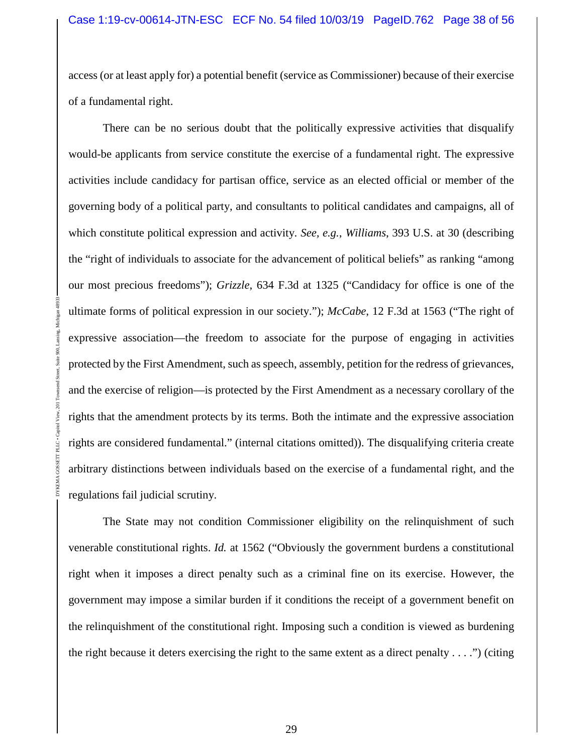access (or at least apply for) a potential benefit (service as Commissioner) because of their exercise of a fundamental right.

There can be no serious doubt that the politically expressive activities that disqualify would-be applicants from service constitute the exercise of a fundamental right. The expressive activities include candidacy for partisan office, service as an elected official or member of the governing body of a political party, and consultants to political candidates and campaigns, all of which constitute political expression and activity. *See, e.g.*, *Williams*, 393 U.S. at 30 (describing the "right of individuals to associate for the advancement of political beliefs" as ranking "among our most precious freedoms"); *Grizzle*, 634 F.3d at 1325 ("Candidacy for office is one of the ultimate forms of political expression in our society."); *McCabe*, 12 F.3d at 1563 ("The right of expressive association—the freedom to associate for the purpose of engaging in activities protected by the First Amendment, such as speech, assembly, petition for the redress of grievances, and the exercise of religion—is protected by the First Amendment as a necessary corollary of the rights that the amendment protects by its terms. Both the intimate and the expressive association rights are considered fundamental." (internal citations omitted)). The disqualifying criteria create arbitrary distinctions between individuals based on the exercise of a fundamental right, and the regulations fail judicial scrutiny.

DYKEMA GOSSETT PLLC • Capitol View, 201 Townsend Street, Suite 900, Lansing, Michigan 48933

The State may not condition Commissioner eligibility on the relinquishment of such venerable constitutional rights. *Id.* at 1562 ("Obviously the government burdens a constitutional right when it imposes a direct penalty such as a criminal fine on its exercise. However, the government may impose a similar burden if it conditions the receipt of a government benefit on the relinquishment of the constitutional right. Imposing such a condition is viewed as burdening the right because it deters exercising the right to the same extent as a direct penalty  $\dots$ .") (citing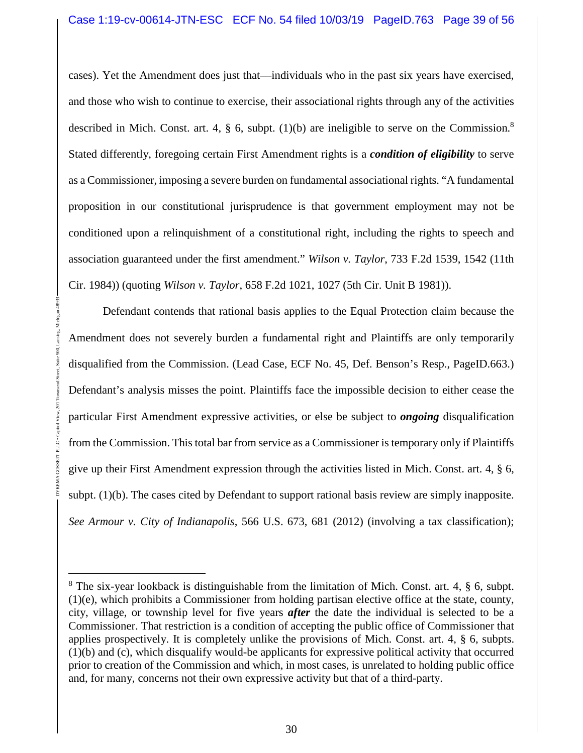cases). Yet the Amendment does just that—individuals who in the past six years have exercised, and those who wish to continue to exercise, their associational rights through any of the activities described in Mich. Const. art. 4,  $\S$  6, subpt. (1)(b) are ineligible to serve on the Commission.<sup>8</sup> Stated differently, foregoing certain First Amendment rights is a *condition of eligibility* to serve as a Commissioner, imposing a severe burden on fundamental associational rights. "A fundamental proposition in our constitutional jurisprudence is that government employment may not be conditioned upon a relinquishment of a constitutional right, including the rights to speech and association guaranteed under the first amendment." *Wilson v. Taylor*, 733 F.2d 1539, 1542 (11th Cir. 1984)) (quoting *Wilson v. Taylor*, 658 F.2d 1021, 1027 (5th Cir. Unit B 1981)).

Defendant contends that rational basis applies to the Equal Protection claim because the Amendment does not severely burden a fundamental right and Plaintiffs are only temporarily disqualified from the Commission. (Lead Case, ECF No. 45, Def. Benson's Resp., PageID.663.) Defendant's analysis misses the point. Plaintiffs face the impossible decision to either cease the particular First Amendment expressive activities, or else be subject to *ongoing* disqualification from the Commission. This total bar from service as a Commissioner is temporary only if Plaintiffs give up their First Amendment expression through the activities listed in Mich. Const. art. 4, § 6, subpt. (1)(b). The cases cited by Defendant to support rational basis review are simply inapposite. *See Armour v. City of Indianapolis*, 566 U.S. 673, 681 (2012) (involving a tax classification);

<sup>&</sup>lt;sup>8</sup> The six-year lookback is distinguishable from the limitation of Mich. Const. art. 4, § 6, subpt. (1)(e), which prohibits a Commissioner from holding partisan elective office at the state, county, city, village, or township level for five years *after* the date the individual is selected to be a Commissioner. That restriction is a condition of accepting the public office of Commissioner that applies prospectively. It is completely unlike the provisions of Mich. Const. art. 4, § 6, subpts. (1)(b) and (c), which disqualify would-be applicants for expressive political activity that occurred prior to creation of the Commission and which, in most cases, is unrelated to holding public office and, for many, concerns not their own expressive activity but that of a third-party.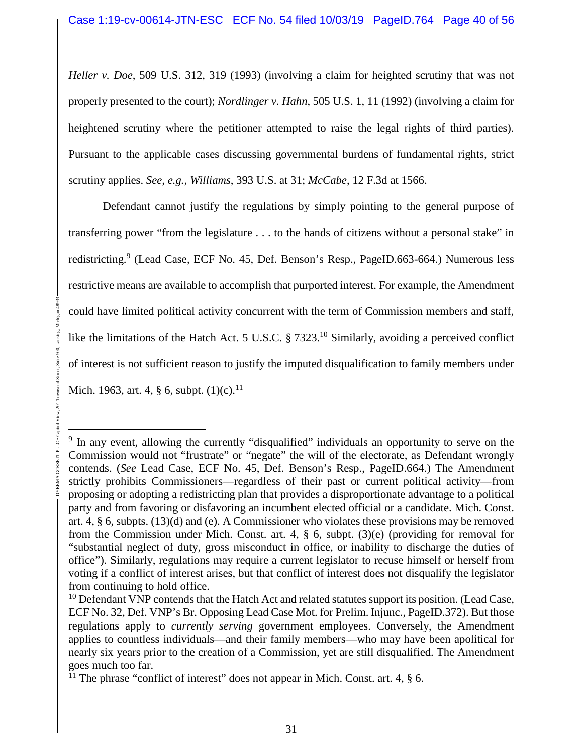*Heller v. Doe*, 509 U.S. 312, 319 (1993) (involving a claim for heighted scrutiny that was not properly presented to the court); *Nordlinger v. Hahn*, 505 U.S. 1, 11 (1992) (involving a claim for heightened scrutiny where the petitioner attempted to raise the legal rights of third parties). Pursuant to the applicable cases discussing governmental burdens of fundamental rights, strict scrutiny applies. *See, e.g.*, *Williams*, 393 U.S. at 31; *McCabe*, 12 F.3d at 1566.

Defendant cannot justify the regulations by simply pointing to the general purpose of transferring power "from the legislature . . . to the hands of citizens without a personal stake" in redistricting.<sup>9</sup> (Lead Case, ECF No. 45, Def. Benson's Resp., PageID.663-664.) Numerous less restrictive means are available to accomplish that purported interest. For example, the Amendment could have limited political activity concurrent with the term of Commission members and staff, like the limitations of the Hatch Act. 5 U.S.C. § 7323.<sup>10</sup> Similarly, avoiding a perceived conflict of interest is not sufficient reason to justify the imputed disqualification to family members under Mich. 1963, art. 4,  $\S$  6, subpt.  $(1)(c)$ .<sup>11</sup>

DYKEMA GOSSETT PLLC • Capitol View, 201 Townsend Street, Suite 900, Lansing, Michigan 48933

 $201$ 

SETT PLLC . Capitol

<sup>&</sup>lt;sup>9</sup> In any event, allowing the currently "disqualified" individuals an opportunity to serve on the Commission would not "frustrate" or "negate" the will of the electorate, as Defendant wrongly contends. (*See* Lead Case, ECF No. 45, Def. Benson's Resp., PageID.664.) The Amendment strictly prohibits Commissioners—regardless of their past or current political activity—from proposing or adopting a redistricting plan that provides a disproportionate advantage to a political party and from favoring or disfavoring an incumbent elected official or a candidate. Mich. Const. art. 4, § 6, subpts. (13)(d) and (e). A Commissioner who violates these provisions may be removed from the Commission under Mich. Const. art. 4, § 6, subpt. (3)(e) (providing for removal for "substantial neglect of duty, gross misconduct in office, or inability to discharge the duties of office"). Similarly, regulations may require a current legislator to recuse himself or herself from voting if a conflict of interest arises, but that conflict of interest does not disqualify the legislator from continuing to hold office.

 $10$  Defendant VNP contends that the Hatch Act and related statutes support its position. (Lead Case, ECF No. 32, Def. VNP's Br. Opposing Lead Case Mot. for Prelim. Injunc., PageID.372). But those regulations apply to *currently serving* government employees. Conversely, the Amendment applies to countless individuals—and their family members—who may have been apolitical for nearly six years prior to the creation of a Commission, yet are still disqualified. The Amendment goes much too far.

<sup>&</sup>lt;sup>11</sup> The phrase "conflict of interest" does not appear in Mich. Const. art. 4,  $\S$  6.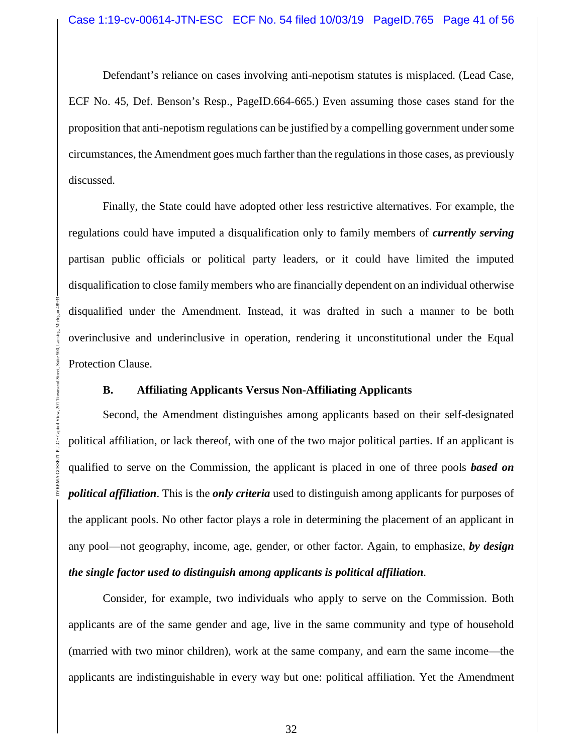Defendant's reliance on cases involving anti-nepotism statutes is misplaced. (Lead Case, ECF No. 45, Def. Benson's Resp., PageID.664-665.) Even assuming those cases stand for the proposition that anti-nepotism regulations can be justified by a compelling government under some circumstances, the Amendment goes much farther than the regulations in those cases, as previously discussed.

Finally, the State could have adopted other less restrictive alternatives. For example, the regulations could have imputed a disqualification only to family members of *currently serving* partisan public officials or political party leaders, or it could have limited the imputed disqualification to close family members who are financially dependent on an individual otherwise disqualified under the Amendment. Instead, it was drafted in such a manner to be both overinclusive and underinclusive in operation, rendering it unconstitutional under the Equal Protection Clause.

#### **B. Affiliating Applicants Versus Non-Affiliating Applicants**

DYKEMA GOSSETT PLLC • Capitol View, 201 Townsend Street, Suite 900, Lansing, Michigan 48933

ā

Second, the Amendment distinguishes among applicants based on their self-designated political affiliation, or lack thereof, with one of the two major political parties. If an applicant is qualified to serve on the Commission, the applicant is placed in one of three pools *based on political affiliation*. This is the *only criteria* used to distinguish among applicants for purposes of the applicant pools. No other factor plays a role in determining the placement of an applicant in any pool—not geography, income, age, gender, or other factor. Again, to emphasize, *by design the single factor used to distinguish among applicants is political affiliation*.

Consider, for example, two individuals who apply to serve on the Commission. Both applicants are of the same gender and age, live in the same community and type of household (married with two minor children), work at the same company, and earn the same income—the applicants are indistinguishable in every way but one: political affiliation. Yet the Amendment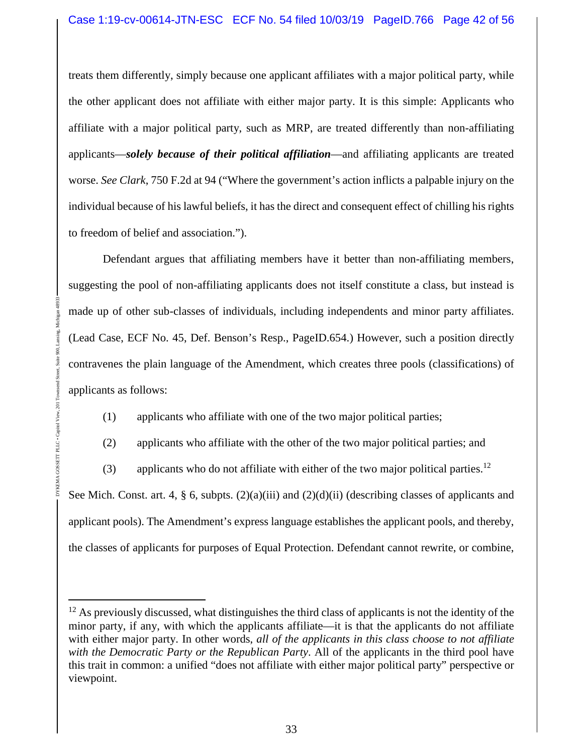treats them differently, simply because one applicant affiliates with a major political party, while the other applicant does not affiliate with either major party. It is this simple: Applicants who affiliate with a major political party, such as MRP, are treated differently than non-affiliating applicants—*solely because of their political affiliation*—and affiliating applicants are treated worse. *See Clark*, 750 F.2d at 94 ("Where the government's action inflicts a palpable injury on the individual because of his lawful beliefs, it has the direct and consequent effect of chilling his rights to freedom of belief and association.").

Defendant argues that affiliating members have it better than non-affiliating members, suggesting the pool of non-affiliating applicants does not itself constitute a class, but instead is made up of other sub-classes of individuals, including independents and minor party affiliates. (Lead Case, ECF No. 45, Def. Benson's Resp., PageID.654.) However, such a position directly contravenes the plain language of the Amendment, which creates three pools (classifications) of applicants as follows:

(1) applicants who affiliate with one of the two major political parties;

DYKEMA GOSSETT PLLC • Capitol View, 201 Townsend Street, Suite 900, Lansing, Michigan 48933

 $201$ 

GOSSETT PLLC . Capitol View

(2) applicants who affiliate with the other of the two major political parties; and

(3) applicants who do not affiliate with either of the two major political parties.<sup>12</sup>

See Mich. Const. art. 4, § 6, subpts. (2)(a)(iii) and (2)(d)(ii) (describing classes of applicants and applicant pools). The Amendment's express language establishes the applicant pools, and thereby, the classes of applicants for purposes of Equal Protection. Defendant cannot rewrite, or combine,

 $12$  As previously discussed, what distinguishes the third class of applicants is not the identity of the minor party, if any, with which the applicants affiliate—it is that the applicants do not affiliate with either major party. In other words, *all of the applicants in this class choose to not affiliate with the Democratic Party or the Republican Party*. All of the applicants in the third pool have this trait in common: a unified "does not affiliate with either major political party" perspective or viewpoint.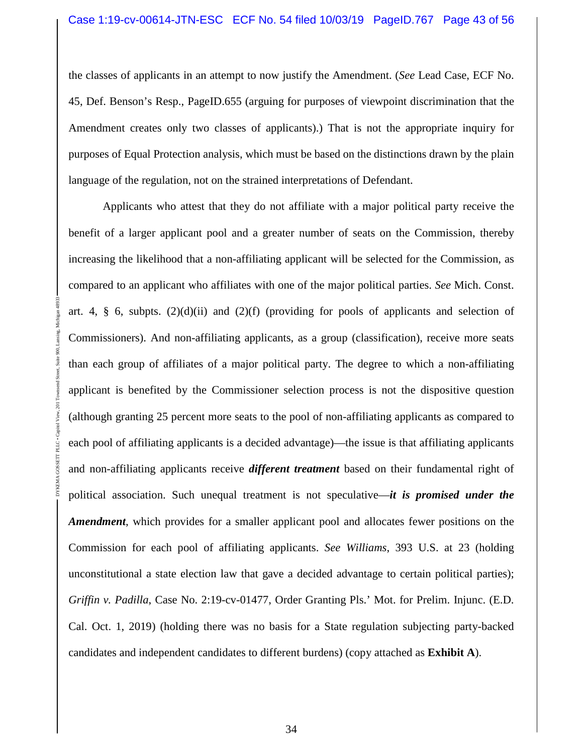the classes of applicants in an attempt to now justify the Amendment. (*See* Lead Case, ECF No. 45, Def. Benson's Resp., PageID.655 (arguing for purposes of viewpoint discrimination that the Amendment creates only two classes of applicants).) That is not the appropriate inquiry for purposes of Equal Protection analysis, which must be based on the distinctions drawn by the plain language of the regulation, not on the strained interpretations of Defendant.

Applicants who attest that they do not affiliate with a major political party receive the benefit of a larger applicant pool and a greater number of seats on the Commission, thereby increasing the likelihood that a non-affiliating applicant will be selected for the Commission, as compared to an applicant who affiliates with one of the major political parties. *See* Mich. Const. art. 4,  $\S$  6, subpts. (2)(d)(ii) and (2)(f) (providing for pools of applicants and selection of Commissioners). And non-affiliating applicants, as a group (classification), receive more seats than each group of affiliates of a major political party. The degree to which a non-affiliating applicant is benefited by the Commissioner selection process is not the dispositive question (although granting 25 percent more seats to the pool of non-affiliating applicants as compared to each pool of affiliating applicants is a decided advantage)—the issue is that affiliating applicants and non-affiliating applicants receive *different treatment* based on their fundamental right of political association. Such unequal treatment is not speculative—*it is promised under the Amendment*, which provides for a smaller applicant pool and allocates fewer positions on the Commission for each pool of affiliating applicants. *See Williams*, 393 U.S. at 23 (holding unconstitutional a state election law that gave a decided advantage to certain political parties); *Griffin v. Padilla*, Case No. 2:19-cv-01477, Order Granting Pls.' Mot. for Prelim. Injunc. (E.D. Cal. Oct. 1, 2019) (holding there was no basis for a State regulation subjecting party-backed candidates and independent candidates to different burdens) (copy attached as **Exhibit A**).

DYKEMA GOSSETT PLLC • Capitol View, 201 Townsend Street, Suite 900, Lansing, Michigan 48933

GOSSETT PLLC . Capito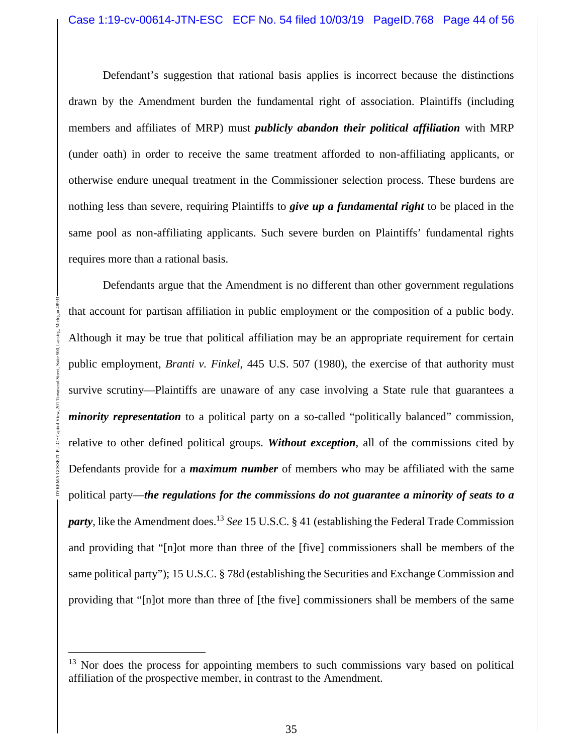Defendant's suggestion that rational basis applies is incorrect because the distinctions drawn by the Amendment burden the fundamental right of association. Plaintiffs (including members and affiliates of MRP) must *publicly abandon their political affiliation* with MRP (under oath) in order to receive the same treatment afforded to non-affiliating applicants, or otherwise endure unequal treatment in the Commissioner selection process. These burdens are nothing less than severe, requiring Plaintiffs to *give up a fundamental right* to be placed in the same pool as non-affiliating applicants. Such severe burden on Plaintiffs' fundamental rights requires more than a rational basis.

Defendants argue that the Amendment is no different than other government regulations that account for partisan affiliation in public employment or the composition of a public body. Although it may be true that political affiliation may be an appropriate requirement for certain public employment, *Branti v. Finkel*, 445 U.S. 507 (1980), the exercise of that authority must survive scrutiny—Plaintiffs are unaware of any case involving a State rule that guarantees a *minority representation* to a political party on a so-called "politically balanced" commission, relative to other defined political groups. *Without exception*, all of the commissions cited by Defendants provide for a *maximum number* of members who may be affiliated with the same political party—*the regulations for the commissions do not guarantee a minority of seats to a party*, like the Amendment does.<sup>13</sup> *See* 15 U.S.C. § 41 (establishing the Federal Trade Commission and providing that "[n]ot more than three of the [five] commissioners shall be members of the same political party"); 15 U.S.C. § 78d (establishing the Securities and Exchange Commission and providing that "[n]ot more than three of [the five] commissioners shall be members of the same

 $13$  Nor does the process for appointing members to such commissions vary based on political affiliation of the prospective member, in contrast to the Amendment.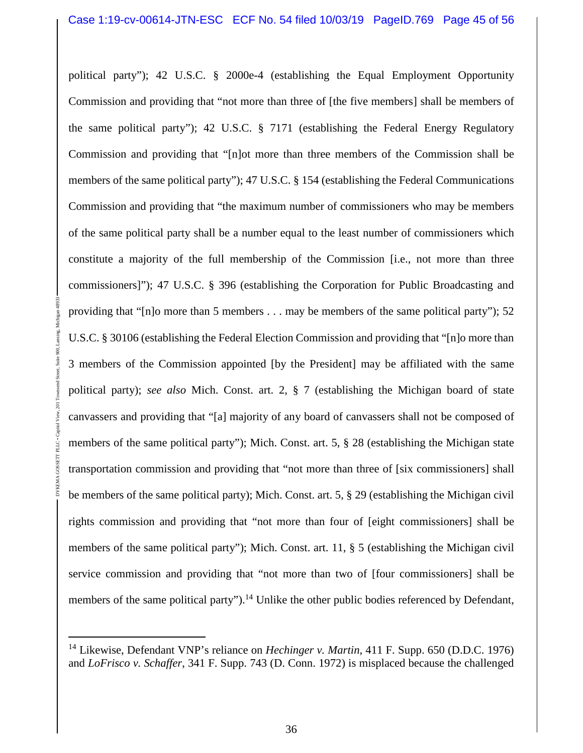political party"); 42 U.S.C. § 2000e-4 (establishing the Equal Employment Opportunity Commission and providing that "not more than three of [the five members] shall be members of the same political party"); 42 U.S.C. § 7171 (establishing the Federal Energy Regulatory Commission and providing that "[n]ot more than three members of the Commission shall be members of the same political party"); 47 U.S.C. § 154 (establishing the Federal Communications Commission and providing that "the maximum number of commissioners who may be members of the same political party shall be a number equal to the least number of commissioners which constitute a majority of the full membership of the Commission [i.e., not more than three commissioners]"); 47 U.S.C. § 396 (establishing the Corporation for Public Broadcasting and providing that "[n]o more than 5 members . . . may be members of the same political party"); 52 U.S.C. § 30106 (establishing the Federal Election Commission and providing that "[n]o more than 3 members of the Commission appointed [by the President] may be affiliated with the same political party); *see also* Mich. Const. art. 2, § 7 (establishing the Michigan board of state canvassers and providing that "[a] majority of any board of canvassers shall not be composed of members of the same political party"); Mich. Const. art. 5, § 28 (establishing the Michigan state transportation commission and providing that "not more than three of [six commissioners] shall be members of the same political party); Mich. Const. art. 5, § 29 (establishing the Michigan civil rights commission and providing that "not more than four of [eight commissioners] shall be members of the same political party"); Mich. Const. art. 11, § 5 (establishing the Michigan civil service commission and providing that "not more than two of [four commissioners] shall be members of the same political party").<sup>14</sup> Unlike the other public bodies referenced by Defendant,

<sup>14</sup> Likewise, Defendant VNP's reliance on *Hechinger v. Martin*, 411 F. Supp. 650 (D.D.C. 1976) and *LoFrisco v. Schaffer*, 341 F. Supp. 743 (D. Conn. 1972) is misplaced because the challenged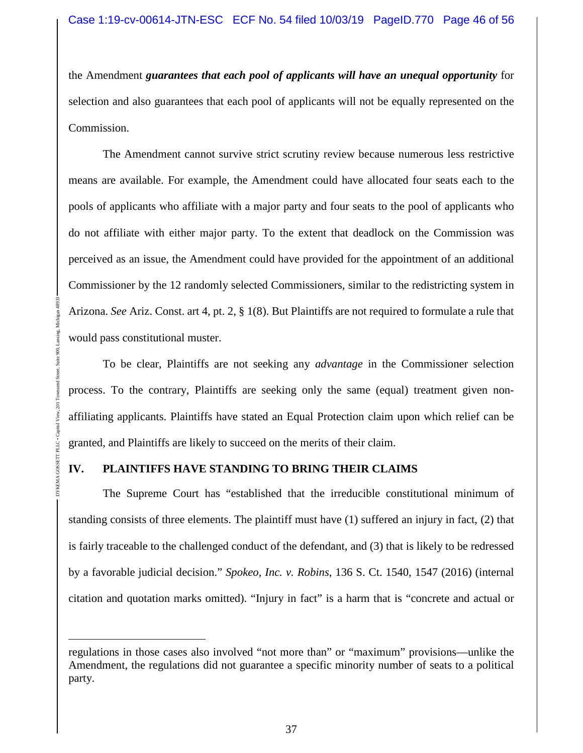the Amendment *guarantees that each pool of applicants will have an unequal opportunity* for selection and also guarantees that each pool of applicants will not be equally represented on the Commission.

The Amendment cannot survive strict scrutiny review because numerous less restrictive means are available. For example, the Amendment could have allocated four seats each to the pools of applicants who affiliate with a major party and four seats to the pool of applicants who do not affiliate with either major party. To the extent that deadlock on the Commission was perceived as an issue, the Amendment could have provided for the appointment of an additional Commissioner by the 12 randomly selected Commissioners, similar to the redistricting system in Arizona. *See* Ariz. Const. art 4, pt. 2, § 1(8). But Plaintiffs are not required to formulate a rule that would pass constitutional muster.

To be clear, Plaintiffs are not seeking any *advantage* in the Commissioner selection process. To the contrary, Plaintiffs are seeking only the same (equal) treatment given nonaffiliating applicants. Plaintiffs have stated an Equal Protection claim upon which relief can be granted, and Plaintiffs are likely to succeed on the merits of their claim.

### **IV. PLAINTIFFS HAVE STANDING TO BRING THEIR CLAIMS**

DYKEMA GOSSETT PLLC • Capitol View, 201 Townsend Street, Suite 900, Lansing, Michigan 48933

The Supreme Court has "established that the irreducible constitutional minimum of standing consists of three elements. The plaintiff must have (1) suffered an injury in fact, (2) that is fairly traceable to the challenged conduct of the defendant, and (3) that is likely to be redressed by a favorable judicial decision." *Spokeo, Inc. v. Robins*, 136 S. Ct. 1540, 1547 (2016) (internal citation and quotation marks omitted). "Injury in fact" is a harm that is "concrete and actual or

regulations in those cases also involved "not more than" or "maximum" provisions—unlike the Amendment, the regulations did not guarantee a specific minority number of seats to a political party.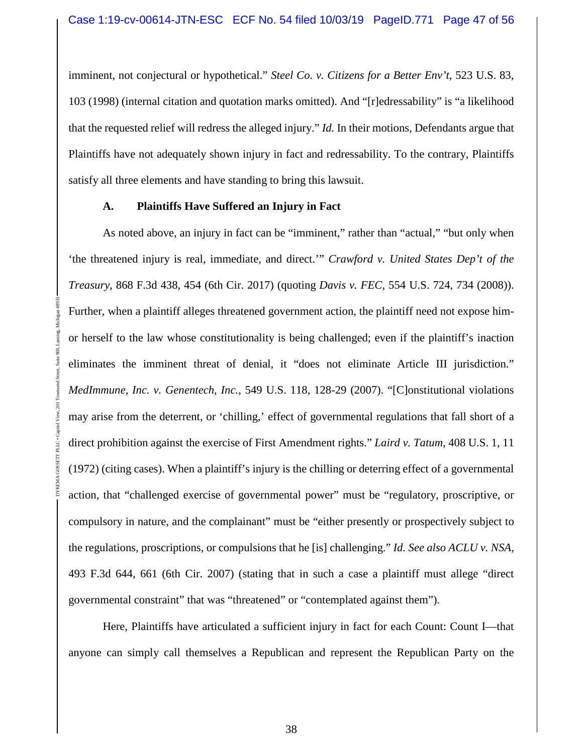imminent, not conjectural or hypothetical." *Steel Co. v. Citizens for a Better Env't*, 523 U.S. 83, 103 (1998) (internal citation and quotation marks omitted). And "[r]edressability" is "a likelihood that the requested relief will redress the alleged injury." *Id.* In their motions, Defendants argue that Plaintiffs have not adequately shown injury in fact and redressability. To the contrary, Plaintiffs satisfy all three elements and have standing to bring this lawsuit.

### **A. Plaintiffs Have Suffered an Injury in Fact**

DYKEMA GOSSETT PLLC • Capitol View, 201 Townsend Street, Suite 900, Lansing, Michigan 48933

As noted above, an injury in fact can be "imminent," rather than "actual," "but only when 'the threatened injury is real, immediate, and direct.'" *Crawford v. United States Dep't of the Treasury*, 868 F.3d 438, 454 (6th Cir. 2017) (quoting *Davis v. FEC*, 554 U.S. 724, 734 (2008)). Further, when a plaintiff alleges threatened government action, the plaintiff need not expose himor herself to the law whose constitutionality is being challenged; even if the plaintiff's inaction eliminates the imminent threat of denial, it "does not eliminate Article III jurisdiction." *MedImmune, Inc. v. Genentech, Inc.*, 549 U.S. 118, 128-29 (2007). "[C]onstitutional violations may arise from the deterrent, or 'chilling,' effect of governmental regulations that fall short of a direct prohibition against the exercise of First Amendment rights." *Laird v. Tatum*, 408 U.S. 1, 11 (1972) (citing cases). When a plaintiff's injury is the chilling or deterring effect of a governmental action, that "challenged exercise of governmental power" must be "regulatory, proscriptive, or compulsory in nature, and the complainant" must be "either presently or prospectively subject to the regulations, proscriptions, or compulsions that he [is] challenging." *Id. See also ACLU v. NSA*, 493 F.3d 644, 661 (6th Cir. 2007) (stating that in such a case a plaintiff must allege "direct governmental constraint" that was "threatened" or "contemplated against them").

Here, Plaintiffs have articulated a sufficient injury in fact for each Count: Count I—that anyone can simply call themselves a Republican and represent the Republican Party on the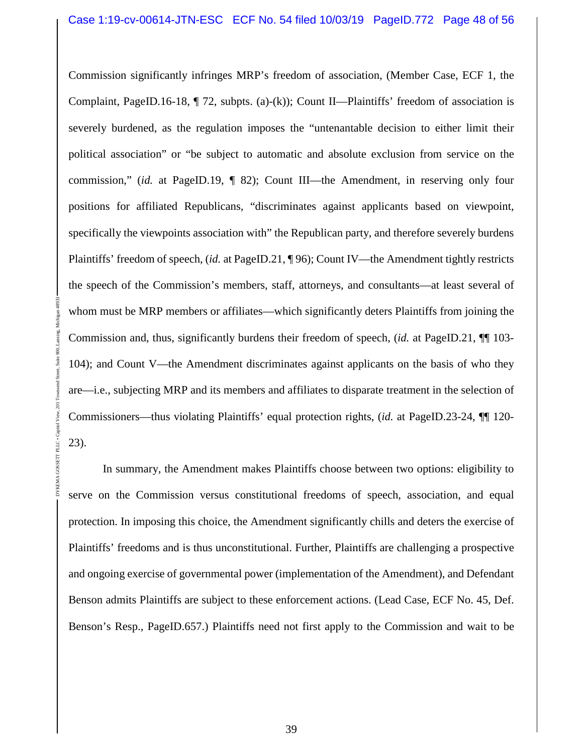Commission significantly infringes MRP's freedom of association, (Member Case, ECF 1, the Complaint, PageID.16-18, ¶ 72, subpts. (a)-(k)); Count II—Plaintiffs' freedom of association is severely burdened, as the regulation imposes the "untenantable decision to either limit their political association" or "be subject to automatic and absolute exclusion from service on the commission," (*id.* at PageID.19, ¶ 82); Count III—the Amendment, in reserving only four positions for affiliated Republicans, "discriminates against applicants based on viewpoint, specifically the viewpoints association with" the Republican party, and therefore severely burdens Plaintiffs' freedom of speech, (*id.* at PageID.21, ¶ 96); Count IV—the Amendment tightly restricts the speech of the Commission's members, staff, attorneys, and consultants—at least several of whom must be MRP members or affiliates—which significantly deters Plaintiffs from joining the Commission and, thus, significantly burdens their freedom of speech, (*id.* at PageID.21, ¶¶ 103- 104); and Count V—the Amendment discriminates against applicants on the basis of who they are—i.e., subjecting MRP and its members and affiliates to disparate treatment in the selection of Commissioners—thus violating Plaintiffs' equal protection rights, (*id.* at PageID.23-24, ¶¶ 120- 23).

DYKEMA GOSSETT PLLC • Capitol View, 201 Townsend Street, Suite 900, Lansing, Michigan 48933

GOSSETT PLLC . Capitol View

In summary, the Amendment makes Plaintiffs choose between two options: eligibility to serve on the Commission versus constitutional freedoms of speech, association, and equal protection. In imposing this choice, the Amendment significantly chills and deters the exercise of Plaintiffs' freedoms and is thus unconstitutional. Further, Plaintiffs are challenging a prospective and ongoing exercise of governmental power (implementation of the Amendment), and Defendant Benson admits Plaintiffs are subject to these enforcement actions. (Lead Case, ECF No. 45, Def. Benson's Resp., PageID.657.) Plaintiffs need not first apply to the Commission and wait to be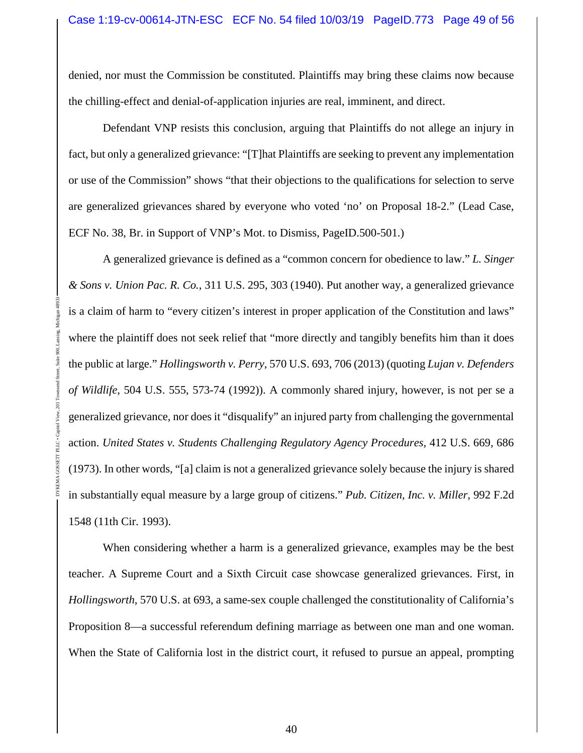denied, nor must the Commission be constituted. Plaintiffs may bring these claims now because the chilling-effect and denial-of-application injuries are real, imminent, and direct.

Defendant VNP resists this conclusion, arguing that Plaintiffs do not allege an injury in fact, but only a generalized grievance: "[T]hat Plaintiffs are seeking to prevent any implementation or use of the Commission" shows "that their objections to the qualifications for selection to serve are generalized grievances shared by everyone who voted 'no' on Proposal 18-2." (Lead Case, ECF No. 38, Br. in Support of VNP's Mot. to Dismiss, PageID.500-501.)

A generalized grievance is defined as a "common concern for obedience to law." *L. Singer & Sons v. Union Pac. R. Co.*, 311 U.S. 295, 303 (1940). Put another way, a generalized grievance is a claim of harm to "every citizen's interest in proper application of the Constitution and laws" where the plaintiff does not seek relief that "more directly and tangibly benefits him than it does the public at large." *Hollingsworth v. Perry*, 570 U.S. 693, 706 (2013) (quoting *Lujan v. Defenders of Wildlife*, 504 U.S. 555, 573-74 (1992)). A commonly shared injury, however, is not per se a generalized grievance, nor does it "disqualify" an injured party from challenging the governmental action. *United States v. Students Challenging Regulatory Agency Procedures*, 412 U.S. 669, 686 (1973). In other words, "[a] claim is not a generalized grievance solely because the injury is shared in substantially equal measure by a large group of citizens." *Pub. Citizen, Inc. v. Miller*, 992 F.2d 1548 (11th Cir. 1993).

DYKEMA GOSSETT PLLC • Capitol View, 201 Townsend Street, Suite 900, Lansing, Michigan 48933

PLLC . Capito

When considering whether a harm is a generalized grievance, examples may be the best teacher. A Supreme Court and a Sixth Circuit case showcase generalized grievances. First, in *Hollingsworth*, 570 U.S. at 693, a same-sex couple challenged the constitutionality of California's Proposition 8—a successful referendum defining marriage as between one man and one woman. When the State of California lost in the district court, it refused to pursue an appeal, prompting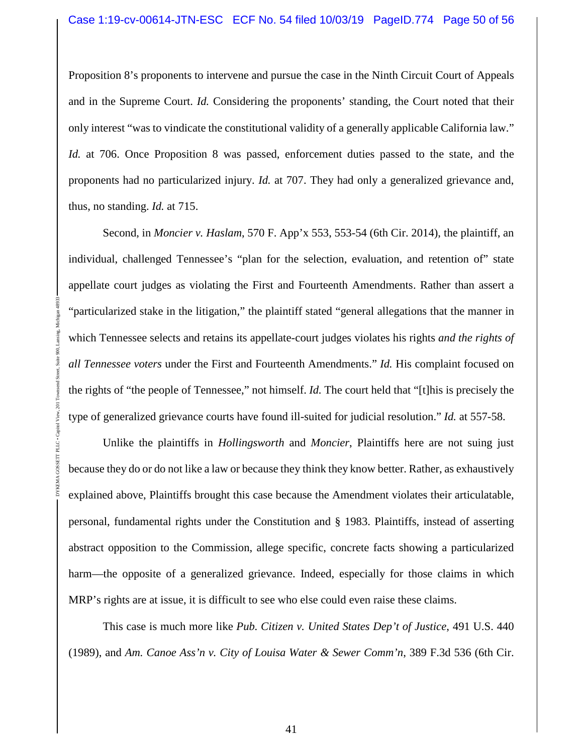Proposition 8's proponents to intervene and pursue the case in the Ninth Circuit Court of Appeals and in the Supreme Court. *Id.* Considering the proponents' standing, the Court noted that their only interest "was to vindicate the constitutional validity of a generally applicable California law." *Id.* at 706. Once Proposition 8 was passed, enforcement duties passed to the state, and the proponents had no particularized injury. *Id.* at 707. They had only a generalized grievance and, thus, no standing. *Id.* at 715.

Second, in *Moncier v. Haslam*, 570 F. App'x 553, 553-54 (6th Cir. 2014), the plaintiff, an individual, challenged Tennessee's "plan for the selection, evaluation, and retention of" state appellate court judges as violating the First and Fourteenth Amendments. Rather than assert a "particularized stake in the litigation," the plaintiff stated "general allegations that the manner in which Tennessee selects and retains its appellate-court judges violates his rights *and the rights of all Tennessee voters* under the First and Fourteenth Amendments." *Id.* His complaint focused on the rights of "the people of Tennessee," not himself. *Id.* The court held that "[t]his is precisely the type of generalized grievance courts have found ill-suited for judicial resolution." *Id.* at 557-58.

DYKEMA GOSSETT PLLC • Capitol View, 201 Townsend Street, Suite 900, Lansing, Michigan 48933

PLLC . Capit

Unlike the plaintiffs in *Hollingsworth* and *Moncier*, Plaintiffs here are not suing just because they do or do not like a law or because they think they know better. Rather, as exhaustively explained above, Plaintiffs brought this case because the Amendment violates their articulatable, personal, fundamental rights under the Constitution and § 1983. Plaintiffs, instead of asserting abstract opposition to the Commission, allege specific, concrete facts showing a particularized harm—the opposite of a generalized grievance. Indeed, especially for those claims in which MRP's rights are at issue, it is difficult to see who else could even raise these claims.

This case is much more like *Pub. Citizen v. United States Dep't of Justice*, 491 U.S. 440 (1989), and *Am. Canoe Ass'n v. City of Louisa Water & Sewer Comm'n*, 389 F.3d 536 (6th Cir.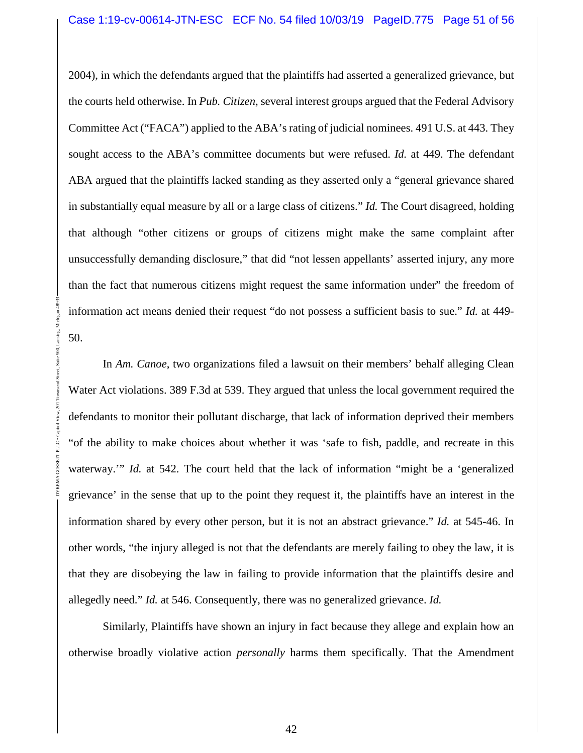2004), in which the defendants argued that the plaintiffs had asserted a generalized grievance, but the courts held otherwise. In *Pub. Citizen*, several interest groups argued that the Federal Advisory Committee Act ("FACA") applied to the ABA's rating of judicial nominees. 491 U.S. at 443. They sought access to the ABA's committee documents but were refused. *Id.* at 449. The defendant ABA argued that the plaintiffs lacked standing as they asserted only a "general grievance shared in substantially equal measure by all or a large class of citizens." *Id.* The Court disagreed, holding that although "other citizens or groups of citizens might make the same complaint after unsuccessfully demanding disclosure," that did "not lessen appellants' asserted injury, any more than the fact that numerous citizens might request the same information under" the freedom of information act means denied their request "do not possess a sufficient basis to sue." *Id.* at 449- 50.

In *Am. Canoe*, two organizations filed a lawsuit on their members' behalf alleging Clean Water Act violations. 389 F.3d at 539. They argued that unless the local government required the defendants to monitor their pollutant discharge, that lack of information deprived their members "of the ability to make choices about whether it was 'safe to fish, paddle, and recreate in this waterway." *Id.* at 542. The court held that the lack of information "might be a 'generalized grievance' in the sense that up to the point they request it, the plaintiffs have an interest in the information shared by every other person, but it is not an abstract grievance." *Id.* at 545-46. In other words, "the injury alleged is not that the defendants are merely failing to obey the law, it is that they are disobeying the law in failing to provide information that the plaintiffs desire and allegedly need." *Id.* at 546. Consequently, there was no generalized grievance. *Id.*

DYKEMA GOSSETT PLLC • Capitol View, 201 Townsend Street, Suite 900, Lansing, Michigan 48933

GOSSETT PLLC . C

900

Similarly, Plaintiffs have shown an injury in fact because they allege and explain how an otherwise broadly violative action *personally* harms them specifically. That the Amendment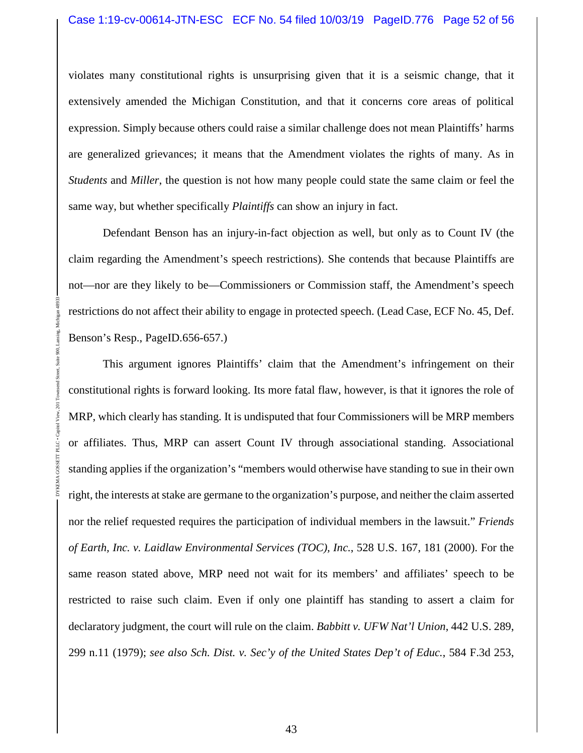violates many constitutional rights is unsurprising given that it is a seismic change, that it extensively amended the Michigan Constitution, and that it concerns core areas of political expression. Simply because others could raise a similar challenge does not mean Plaintiffs' harms are generalized grievances; it means that the Amendment violates the rights of many. As in *Students* and *Miller*, the question is not how many people could state the same claim or feel the same way, but whether specifically *Plaintiffs* can show an injury in fact.

Defendant Benson has an injury-in-fact objection as well, but only as to Count IV (the claim regarding the Amendment's speech restrictions). She contends that because Plaintiffs are not—nor are they likely to be—Commissioners or Commission staff, the Amendment's speech restrictions do not affect their ability to engage in protected speech. (Lead Case, ECF No. 45, Def. Benson's Resp., PageID.656-657.)

DYKEMA GOSSETT PLLC • Capitol View, 201 Townsend Street, Suite 900, Lansing, Michigan 48933

This argument ignores Plaintiffs' claim that the Amendment's infringement on their constitutional rights is forward looking. Its more fatal flaw, however, is that it ignores the role of MRP, which clearly has standing. It is undisputed that four Commissioners will be MRP members or affiliates. Thus, MRP can assert Count IV through associational standing. Associational standing applies if the organization's "members would otherwise have standing to sue in their own right, the interests at stake are germane to the organization's purpose, and neither the claim asserted nor the relief requested requires the participation of individual members in the lawsuit." *Friends of Earth, Inc. v. Laidlaw Environmental Services (TOC), Inc.*, 528 U.S. 167, 181 (2000). For the same reason stated above, MRP need not wait for its members' and affiliates' speech to be restricted to raise such claim. Even if only one plaintiff has standing to assert a claim for declaratory judgment, the court will rule on the claim. *Babbitt v. UFW Nat'l Union*, 442 U.S. 289, 299 n.11 (1979); *see also Sch. Dist. v. Sec'y of the United States Dep't of Educ.*, 584 F.3d 253,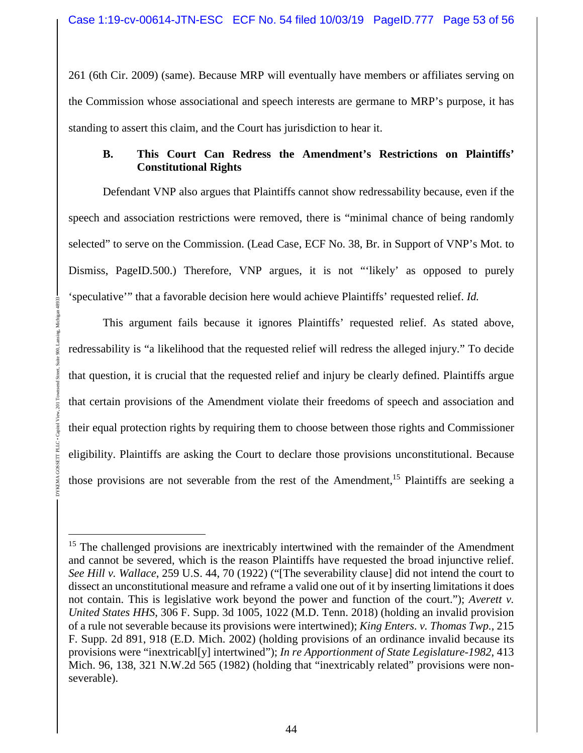261 (6th Cir. 2009) (same). Because MRP will eventually have members or affiliates serving on the Commission whose associational and speech interests are germane to MRP's purpose, it has standing to assert this claim, and the Court has jurisdiction to hear it.

### **B. This Court Can Redress the Amendment's Restrictions on Plaintiffs' Constitutional Rights**

Defendant VNP also argues that Plaintiffs cannot show redressability because, even if the speech and association restrictions were removed, there is "minimal chance of being randomly selected" to serve on the Commission. (Lead Case, ECF No. 38, Br. in Support of VNP's Mot. to Dismiss, PageID.500.) Therefore, VNP argues, it is not "'likely' as opposed to purely 'speculative'" that a favorable decision here would achieve Plaintiffs' requested relief. *Id.*

This argument fails because it ignores Plaintiffs' requested relief. As stated above, redressability is "a likelihood that the requested relief will redress the alleged injury." To decide that question, it is crucial that the requested relief and injury be clearly defined. Plaintiffs argue that certain provisions of the Amendment violate their freedoms of speech and association and their equal protection rights by requiring them to choose between those rights and Commissioner eligibility. Plaintiffs are asking the Court to declare those provisions unconstitutional. Because those provisions are not severable from the rest of the Amendment,<sup>15</sup> Plaintiffs are seeking a

<sup>&</sup>lt;sup>15</sup> The challenged provisions are inextricably intertwined with the remainder of the Amendment and cannot be severed, which is the reason Plaintiffs have requested the broad injunctive relief. *See Hill v. Wallace*, 259 U.S. 44, 70 (1922) ("[The severability clause] did not intend the court to dissect an unconstitutional measure and reframe a valid one out of it by inserting limitations it does not contain. This is legislative work beyond the power and function of the court."); *Averett v. United States HHS*, 306 F. Supp. 3d 1005, 1022 (M.D. Tenn. 2018) (holding an invalid provision of a rule not severable because its provisions were intertwined); *King Enters. v. Thomas Twp.*, 215 F. Supp. 2d 891, 918 (E.D. Mich. 2002) (holding provisions of an ordinance invalid because its provisions were "inextricabl[y] intertwined"); *In re Apportionment of State Legislature-1982*, 413 Mich. 96, 138, 321 N.W.2d 565 (1982) (holding that "inextricably related" provisions were nonseverable).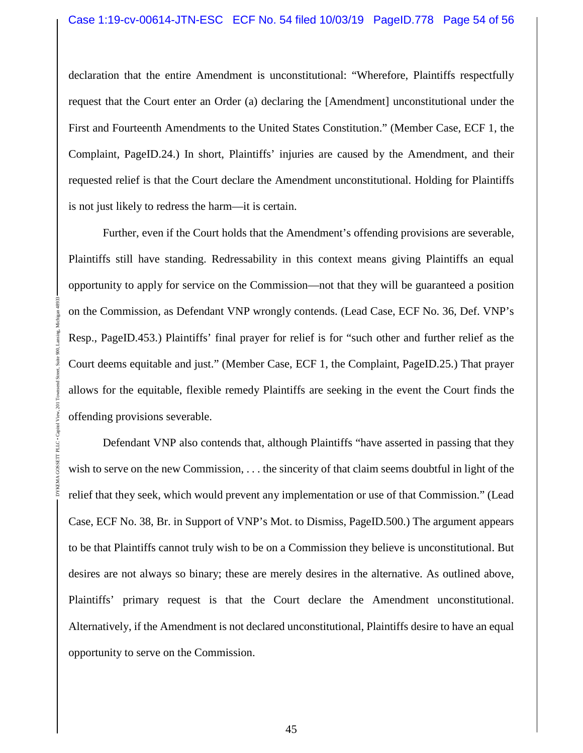declaration that the entire Amendment is unconstitutional: "Wherefore, Plaintiffs respectfully request that the Court enter an Order (a) declaring the [Amendment] unconstitutional under the First and Fourteenth Amendments to the United States Constitution." (Member Case, ECF 1, the Complaint, PageID.24.) In short, Plaintiffs' injuries are caused by the Amendment, and their requested relief is that the Court declare the Amendment unconstitutional. Holding for Plaintiffs is not just likely to redress the harm—it is certain.

Further, even if the Court holds that the Amendment's offending provisions are severable, Plaintiffs still have standing. Redressability in this context means giving Plaintiffs an equal opportunity to apply for service on the Commission—not that they will be guaranteed a position on the Commission, as Defendant VNP wrongly contends. (Lead Case, ECF No. 36, Def. VNP's Resp., PageID.453.) Plaintiffs' final prayer for relief is for "such other and further relief as the Court deems equitable and just." (Member Case, ECF 1, the Complaint, PageID.25.) That prayer allows for the equitable, flexible remedy Plaintiffs are seeking in the event the Court finds the offending provisions severable.

DYKEMA GOSSETT PLLC • Capitol View, 201 Townsend Street, Suite 900, Lansing, Michigan 48933

PLLC · Capit

Defendant VNP also contends that, although Plaintiffs "have asserted in passing that they wish to serve on the new Commission, ... the sincerity of that claim seems doubtful in light of the relief that they seek, which would prevent any implementation or use of that Commission." (Lead Case, ECF No. 38, Br. in Support of VNP's Mot. to Dismiss, PageID.500.) The argument appears to be that Plaintiffs cannot truly wish to be on a Commission they believe is unconstitutional. But desires are not always so binary; these are merely desires in the alternative. As outlined above, Plaintiffs' primary request is that the Court declare the Amendment unconstitutional. Alternatively, if the Amendment is not declared unconstitutional, Plaintiffs desire to have an equal opportunity to serve on the Commission.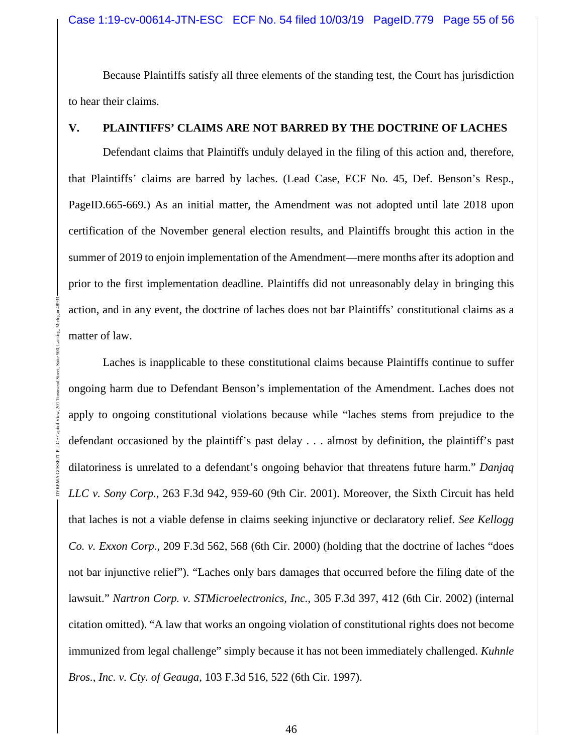Because Plaintiffs satisfy all three elements of the standing test, the Court has jurisdiction to hear their claims.

#### **V. PLAINTIFFS' CLAIMS ARE NOT BARRED BY THE DOCTRINE OF LACHES**

Defendant claims that Plaintiffs unduly delayed in the filing of this action and, therefore, that Plaintiffs' claims are barred by laches. (Lead Case, ECF No. 45, Def. Benson's Resp., PageID.665-669.) As an initial matter, the Amendment was not adopted until late 2018 upon certification of the November general election results, and Plaintiffs brought this action in the summer of 2019 to enjoin implementation of the Amendment—mere months after its adoption and prior to the first implementation deadline. Plaintiffs did not unreasonably delay in bringing this action, and in any event, the doctrine of laches does not bar Plaintiffs' constitutional claims as a matter of law.

Laches is inapplicable to these constitutional claims because Plaintiffs continue to suffer ongoing harm due to Defendant Benson's implementation of the Amendment. Laches does not apply to ongoing constitutional violations because while "laches stems from prejudice to the defendant occasioned by the plaintiff's past delay . . . almost by definition, the plaintiff's past dilatoriness is unrelated to a defendant's ongoing behavior that threatens future harm." *Danjaq LLC v. Sony Corp.*, 263 F.3d 942, 959-60 (9th Cir. 2001). Moreover, the Sixth Circuit has held that laches is not a viable defense in claims seeking injunctive or declaratory relief. *See Kellogg Co. v. Exxon Corp.*, 209 F.3d 562, 568 (6th Cir. 2000) (holding that the doctrine of laches "does not bar injunctive relief"). "Laches only bars damages that occurred before the filing date of the lawsuit." *Nartron Corp. v. STMicroelectronics, Inc.*, 305 F.3d 397, 412 (6th Cir. 2002) (internal citation omitted). "A law that works an ongoing violation of constitutional rights does not become immunized from legal challenge" simply because it has not been immediately challenged. *Kuhnle Bros.*, *Inc. v. Cty. of Geauga*, 103 F.3d 516, 522 (6th Cir. 1997).